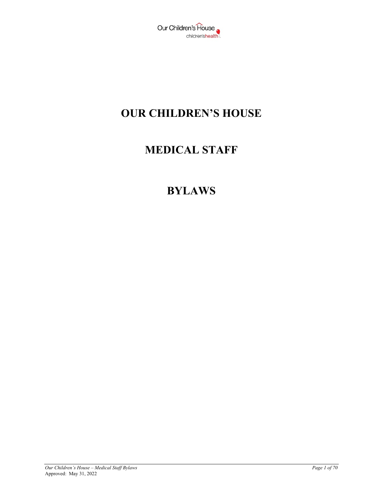

# **OUR CHILDREN'S HOUSE**

# **MEDICAL STAFF**

# **BYLAWS**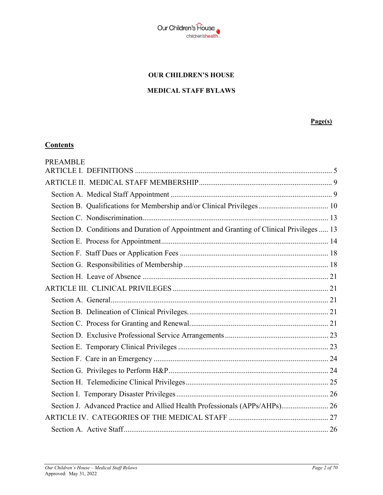

#### **OUR CHILDREN'S HOUSE**

## **MEDICAL STAFF BYLAWS**

## **Page(s)**

# **Contents**

| <b>PREAMBLE</b>                                                                           |  |
|-------------------------------------------------------------------------------------------|--|
|                                                                                           |  |
|                                                                                           |  |
|                                                                                           |  |
|                                                                                           |  |
|                                                                                           |  |
| Section D. Conditions and Duration of Appointment and Granting of Clinical Privileges  13 |  |
|                                                                                           |  |
|                                                                                           |  |
|                                                                                           |  |
|                                                                                           |  |
|                                                                                           |  |
|                                                                                           |  |
|                                                                                           |  |
|                                                                                           |  |
|                                                                                           |  |
|                                                                                           |  |
|                                                                                           |  |
|                                                                                           |  |
|                                                                                           |  |
|                                                                                           |  |
| Section J. Advanced Practice and Allied Health Professionals (APPs/AHPs) 26               |  |
|                                                                                           |  |
|                                                                                           |  |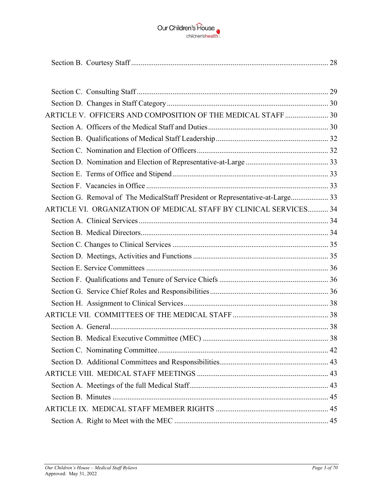

|--|--|--|--|--|

| ARTICLE V. OFFICERS AND COMPOSITION OF THE MEDICAL STAFF  30                   |  |
|--------------------------------------------------------------------------------|--|
|                                                                                |  |
|                                                                                |  |
|                                                                                |  |
|                                                                                |  |
|                                                                                |  |
|                                                                                |  |
| Section G. Removal of The MedicalStaff President or Representative-at-Large 33 |  |
| ARTICLE VI. ORGANIZATION OF MEDICAL STAFF BY CLINICAL SERVICES 34              |  |
|                                                                                |  |
|                                                                                |  |
|                                                                                |  |
|                                                                                |  |
|                                                                                |  |
|                                                                                |  |
|                                                                                |  |
|                                                                                |  |
|                                                                                |  |
|                                                                                |  |
|                                                                                |  |
|                                                                                |  |
|                                                                                |  |
|                                                                                |  |
|                                                                                |  |
|                                                                                |  |
|                                                                                |  |
|                                                                                |  |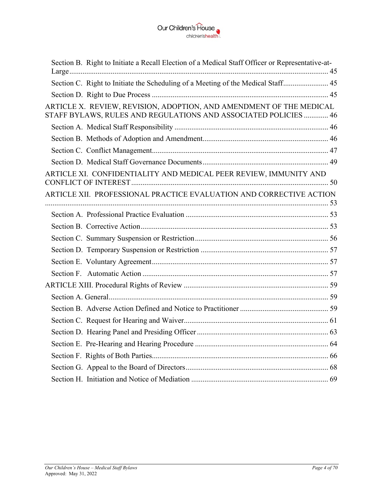

| Section B. Right to Initiate a Recall Election of a Medical Staff Officer or Representative-at-                                        |  |
|----------------------------------------------------------------------------------------------------------------------------------------|--|
|                                                                                                                                        |  |
|                                                                                                                                        |  |
| ARTICLE X. REVIEW, REVISION, ADOPTION, AND AMENDMENT OF THE MEDICAL<br>STAFF BYLAWS, RULES AND REGULATIONS AND ASSOCIATED POLICIES  46 |  |
|                                                                                                                                        |  |
|                                                                                                                                        |  |
|                                                                                                                                        |  |
|                                                                                                                                        |  |
| ARTICLE XI. CONFIDENTIALITY AND MEDICAL PEER REVIEW, IMMUNITY AND                                                                      |  |
| ARTICLE XII. PROFESSIONAL PRACTICE EVALUATION AND CORRECTIVE ACTION                                                                    |  |
|                                                                                                                                        |  |
|                                                                                                                                        |  |
|                                                                                                                                        |  |
|                                                                                                                                        |  |
|                                                                                                                                        |  |
|                                                                                                                                        |  |
|                                                                                                                                        |  |
|                                                                                                                                        |  |
|                                                                                                                                        |  |
|                                                                                                                                        |  |
|                                                                                                                                        |  |
|                                                                                                                                        |  |
|                                                                                                                                        |  |
|                                                                                                                                        |  |
|                                                                                                                                        |  |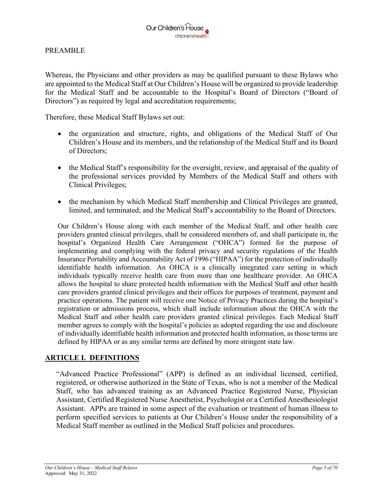## PREAMBLE

Whereas, the Physicians and other providers as may be qualified pursuant to these Bylaws who are appointed to the Medical Staff at Our Children's House will be organized to provide leadership for the Medical Staff and be accountable to the Hospital's Board of Directors ("Board of Directors") as required by legal and accreditation requirements;

Therefore, these Medical Staff Bylaws set out:

- the organization and structure, rights, and obligations of the Medical Staff of Our Children's House and its members, and the relationship of the Medical Staff and its Board of Directors;
- the Medical Staff's responsibility for the oversight, review, and appraisal of the quality of the professional services provided by Members of the Medical Staff and others with Clinical Privileges;
- the mechanism by which Medical Staff membership and Clinical Privileges are granted, limited, and terminated; and the Medical Staff's accountability to the Board of Directors.

Our Children's House along with each member of the Medical Staff, and other health care providers granted clinical privileges, shall be considered members of, and shall participate in, the hospital's Organized Health Care Arrangement ("OHCA") formed for the purpose of implementing and complying with the federal privacy and security regulations of the Health Insurance Portability and Accountability Act of 1996 ("HIPAA") for the protection of individually identifiable health information. An OHCA is a clinically integrated care setting in which individuals typically receive health care from more than one healthcare provider. An OHCA allows the hospital to share protected health information with the Medical Staff and other health care providers granted clinical privileges and their offices for purposes of treatment, payment and practice operations. The patient will receive one Notice of Privacy Practices during the hospital's registration or admissions process, which shall include information about the OHCA with the Medical Staff and other health care providers granted clinical privileges. Each Medical Staff member agrees to comply with the hospital's policies as adopted regarding the use and disclosure of individually identifiable health information and protected health information, as those terms are defined by HIPAA or as any similar terms are defined by more stringent state law.

## **ARTICLE I. DEFINITIONS**

"Advanced Practice Professional" (APP) is defined as an individual licensed, certified, registered, or otherwise authorized in the State of Texas, who is not a member of the Medical Staff, who has advanced training as an Advanced Practice Registered Nurse, Physician Assistant, Certified Registered Nurse Anesthetist, Psychologist or a Certified Anesthesiologist Assistant. APPs are trained in some aspect of the evaluation or treatment of human illness to perform specified services to patients at Our Children's House under the responsibility of a Medical Staff member as outlined in the Medical Staff policies and procedures.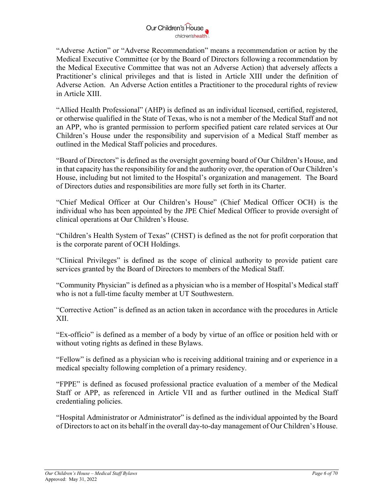

"Adverse Action" or "Adverse Recommendation" means a recommendation or action by the Medical Executive Committee (or by the Board of Directors following a recommendation by the Medical Executive Committee that was not an Adverse Action) that adversely affects a Practitioner's clinical privileges and that is listed in Article XIII under the definition of Adverse Action. An Adverse Action entitles a Practitioner to the procedural rights of review in Article XIII.

"Allied Health Professional" (AHP) is defined as an individual licensed, certified, registered, or otherwise qualified in the State of Texas, who is not a member of the Medical Staff and not an APP, who is granted permission to perform specified patient care related services at Our Children's House under the responsibility and supervision of a Medical Staff member as outlined in the Medical Staff policies and procedures.

"Board of Directors" is defined as the oversight governing board of Our Children's House, and in that capacity has the responsibility for and the authority over, the operation of Our Children's House, including but not limited to the Hospital's organization and management. The Board of Directors duties and responsibilities are more fully set forth in its Charter.

"Chief Medical Officer at Our Children's House" (Chief Medical Officer OCH) is the individual who has been appointed by the JPE Chief Medical Officer to provide oversight of clinical operations at Our Children's House.

"Children's Health System of Texas" (CHST) is defined as the not for profit corporation that is the corporate parent of OCH Holdings.

"Clinical Privileges" is defined as the scope of clinical authority to provide patient care services granted by the Board of Directors to members of the Medical Staff.

"Community Physician" is defined as a physician who is a member of Hospital's Medical staff who is not a full-time faculty member at UT Southwestern.

"Corrective Action" is defined as an action taken in accordance with the procedures in Article XII.

"Ex-officio" is defined as a member of a body by virtue of an office or position held with or without voting rights as defined in these Bylaws.

"Fellow" is defined as a physician who is receiving additional training and or experience in a medical specialty following completion of a primary residency.

"FPPE" is defined as focused professional practice evaluation of a member of the Medical Staff or APP, as referenced in Article VII and as further outlined in the Medical Staff credentialing policies.

"Hospital Administrator or Administrator" is defined as the individual appointed by the Board of Directors to act on its behalf in the overall day-to-day management of Our Children's House.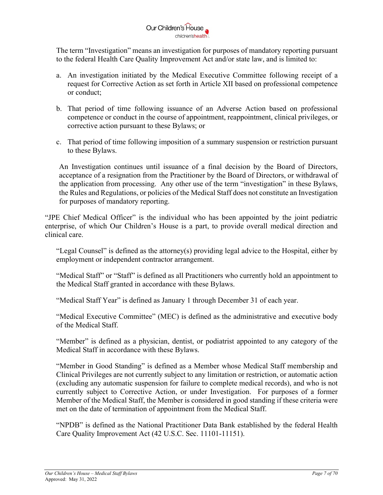

The term "Investigation" means an investigation for purposes of mandatory reporting pursuant to the federal Health Care Quality Improvement Act and/or state law, and is limited to:

- a. An investigation initiated by the Medical Executive Committee following receipt of a request for Corrective Action as set forth in Article XII based on professional competence or conduct;
- b. That period of time following issuance of an Adverse Action based on professional competence or conduct in the course of appointment, reappointment, clinical privileges, or corrective action pursuant to these Bylaws; or
- c. That period of time following imposition of a summary suspension or restriction pursuant to these Bylaws.

An Investigation continues until issuance of a final decision by the Board of Directors, acceptance of a resignation from the Practitioner by the Board of Directors, or withdrawal of the application from processing. Any other use of the term "investigation" in these Bylaws, the Rules and Regulations, or policies of the Medical Staff does not constitute an Investigation for purposes of mandatory reporting.

"JPE Chief Medical Officer" is the individual who has been appointed by the joint pediatric enterprise, of which Our Children's House is a part, to provide overall medical direction and clinical care.

"Legal Counsel" is defined as the attorney(s) providing legal advice to the Hospital, either by employment or independent contractor arrangement.

"Medical Staff" or "Staff" is defined as all Practitioners who currently hold an appointment to the Medical Staff granted in accordance with these Bylaws.

"Medical Staff Year" is defined as January 1 through December 31 of each year.

"Medical Executive Committee" (MEC) is defined as the administrative and executive body of the Medical Staff.

"Member" is defined as a physician, dentist, or podiatrist appointed to any category of the Medical Staff in accordance with these Bylaws.

"Member in Good Standing" is defined as a Member whose Medical Staff membership and Clinical Privileges are not currently subject to any limitation or restriction, or automatic action (excluding any automatic suspension for failure to complete medical records), and who is not currently subject to Corrective Action, or under Investigation. For purposes of a former Member of the Medical Staff, the Member is considered in good standing if these criteria were met on the date of termination of appointment from the Medical Staff.

"NPDB" is defined as the National Practitioner Data Bank established by the federal Health Care Quality Improvement Act (42 U.S.C. Sec. 11101-11151).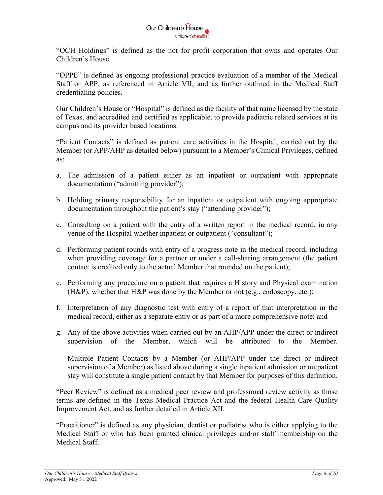

"OCH Holdings" is defined as the not for profit corporation that owns and operates Our Children's House.

"OPPE" is defined as ongoing professional practice evaluation of a member of the Medical Staff or APP, as referenced in Article VII, and as further outlined in the Medical Staff credentialing policies.

Our Children's House or "Hospital" is defined as the facility of that name licensed by the state of Texas, and accredited and certified as applicable, to provide pediatric related services at its campus and its provider based locations.

"Patient Contacts" is defined as patient care activities in the Hospital, carried out by the Member (or APP/AHP as detailed below) pursuant to a Member's Clinical Privileges, defined as:

- a. The admission of a patient either as an inpatient or outpatient with appropriate documentation ("admitting provider");
- b. Holding primary responsibility for an inpatient or outpatient with ongoing appropriate documentation throughout the patient's stay ("attending provider");
- c. Consulting on a patient with the entry of a written report in the medical record, in any venue of the Hospital whether inpatient or outpatient ("consultant");
- d. Performing patient rounds with entry of a progress note in the medical record, including when providing coverage for a partner or under a call-sharing arrangement (the patient contact is credited only to the actual Member that rounded on the patient);
- e. Performing any procedure on a patient that requires a History and Physical examination (H&P), whether that H&P was done by the Member or not (e.g., endoscopy, etc.);
- f. Interpretation of any diagnostic test with entry of a report of that interpretation in the medical record, either as a separate entry or as part of a more comprehensive note; and
- g. Any of the above activities when carried out by an AHP/APP under the direct or indirect supervision of the Member, which will be attributed to the Member.

Multiple Patient Contacts by a Member (or AHP/APP under the direct or indirect supervision of a Member) as listed above during a single inpatient admission or outpatient stay will constitute a single patient contact by that Member for purposes of this definition.

"Peer Review" is defined as a medical peer review and professional review activity as those terms are defined in the Texas Medical Practice Act and the federal Health Care Quality Improvement Act, and as further detailed in Article XII.

"Practitioner" is defined as any physician, dentist or podiatrist who is either applying to the Medical Staff or who has been granted clinical privileges and/or staff membership on the Medical Staff.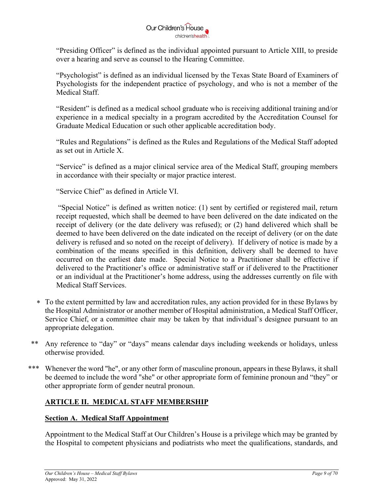

"Presiding Officer" is defined as the individual appointed pursuant to Article XIII, to preside over a hearing and serve as counsel to the Hearing Committee.

"Psychologist" is defined as an individual licensed by the Texas State Board of Examiners of Psychologists for the independent practice of psychology, and who is not a member of the Medical Staff.

"Resident" is defined as a medical school graduate who is receiving additional training and/or experience in a medical specialty in a program accredited by the Accreditation Counsel for Graduate Medical Education or such other applicable accreditation body.

"Rules and Regulations" is defined as the Rules and Regulations of the Medical Staff adopted as set out in Article X.

"Service" is defined as a major clinical service area of the Medical Staff, grouping members in accordance with their specialty or major practice interest.

"Service Chief" as defined in Article VI.

 "Special Notice" is defined as written notice: (1) sent by certified or registered mail, return receipt requested, which shall be deemed to have been delivered on the date indicated on the receipt of delivery (or the date delivery was refused); or (2) hand delivered which shall be deemed to have been delivered on the date indicated on the receipt of delivery (or on the date delivery is refused and so noted on the receipt of delivery). If delivery of notice is made by a combination of the means specified in this definition, delivery shall be deemed to have occurred on the earliest date made. Special Notice to a Practitioner shall be effective if delivered to the Practitioner's office or administrative staff or if delivered to the Practitioner or an individual at the Practitioner's home address, using the addresses currently on file with Medical Staff Services.

- To the extent permitted by law and accreditation rules, any action provided for in these Bylaws by the Hospital Administrator or another member of Hospital administration, a Medical Staff Officer, Service Chief, or a committee chair may be taken by that individual's designee pursuant to an appropriate delegation.
- \*\* Any reference to "day" or "days" means calendar days including weekends or holidays, unless otherwise provided.
- \*\*\* Whenever the word "he", or any other form of masculine pronoun, appears in these Bylaws, it shall be deemed to include the word "she" or other appropriate form of feminine pronoun and "they" or other appropriate form of gender neutral pronoun.

# **ARTICLE II. MEDICAL STAFF MEMBERSHIP**

# **Section A. Medical Staff Appointment**

Appointment to the Medical Staff at Our Children's House is a privilege which may be granted by the Hospital to competent physicians and podiatrists who meet the qualifications, standards, and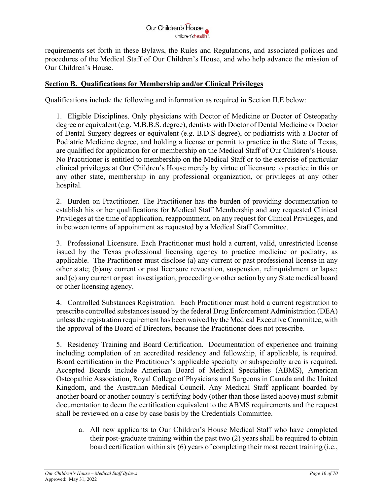

requirements set forth in these Bylaws, the Rules and Regulations, and associated policies and procedures of the Medical Staff of Our Children's House, and who help advance the mission of Our Children's House.

### **Section B. Qualifications for Membership and/or Clinical Privileges**

Qualifications include the following and information as required in Section II.E below:

1. Eligible Disciplines. Only physicians with Doctor of Medicine or Doctor of Osteopathy degree or equivalent (e.g. M.B.B.S. degree), dentists with Doctor of Dental Medicine or Doctor of Dental Surgery degrees or equivalent (e.g. B.D.S degree), or podiatrists with a Doctor of Podiatric Medicine degree, and holding a license or permit to practice in the State of Texas, are qualified for application for or membership on the Medical Staff of Our Children's House. No Practitioner is entitled to membership on the Medical Staff or to the exercise of particular clinical privileges at Our Children's House merely by virtue of licensure to practice in this or any other state, membership in any professional organization, or privileges at any other hospital.

2. Burden on Practitioner. The Practitioner has the burden of providing documentation to establish his or her qualifications for Medical Staff Membership and any requested Clinical Privileges at the time of application, reappointment, on any request for Clinical Privileges, and in between terms of appointment as requested by a Medical Staff Committee.

3. Professional Licensure. Each Practitioner must hold a current, valid, unrestricted license issued by the Texas professional licensing agency to practice medicine or podiatry, as applicable. The Practitioner must disclose (a) any current or past professional license in any other state; (b)any current or past licensure revocation, suspension, relinquishment or lapse; and (c) any current or past investigation, proceeding or other action by any State medical board or other licensing agency.

4. Controlled Substances Registration. Each Practitioner must hold a current registration to prescribe controlled substances issued by the federal Drug Enforcement Administration (DEA) unless the registration requirement has been waived by the Medical Executive Committee, with the approval of the Board of Directors, because the Practitioner does not prescribe.

5. Residency Training and Board Certification. Documentation of experience and training including completion of an accredited residency and fellowship, if applicable, is required. Board certification in the Practitioner's applicable specialty or subspecialty area is required. Accepted Boards include American Board of Medical Specialties (ABMS), American Osteopathic Association, Royal College of Physicians and Surgeons in Canada and the United Kingdom, and the Australian Medical Council. Any Medical Staff applicant boarded by another board or another country's certifying body (other than those listed above) must submit documentation to deem the certification equivalent to the ABMS requirements and the request shall be reviewed on a case by case basis by the Credentials Committee.

a. All new applicants to Our Children's House Medical Staff who have completed their post-graduate training within the past two (2) years shall be required to obtain board certification within six (6) years of completing their most recent training (i.e.,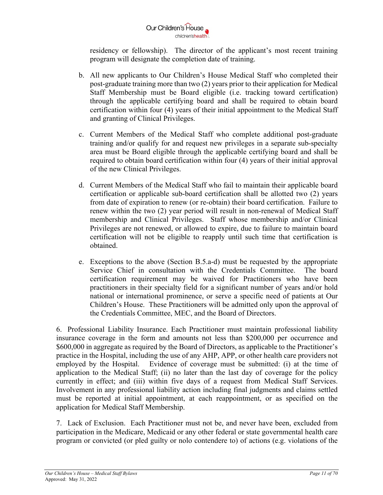

residency or fellowship). The director of the applicant's most recent training program will designate the completion date of training.

- b. All new applicants to Our Children's House Medical Staff who completed their post-graduate training more than two (2) years prior to their application for Medical Staff Membership must be Board eligible (i.e. tracking toward certification) through the applicable certifying board and shall be required to obtain board certification within four (4) years of their initial appointment to the Medical Staff and granting of Clinical Privileges.
- c. Current Members of the Medical Staff who complete additional post-graduate training and/or qualify for and request new privileges in a separate sub-specialty area must be Board eligible through the applicable certifying board and shall be required to obtain board certification within four (4) years of their initial approval of the new Clinical Privileges.
- d. Current Members of the Medical Staff who fail to maintain their applicable board certification or applicable sub-board certification shall be allotted two (2) years from date of expiration to renew (or re-obtain) their board certification. Failure to renew within the two (2) year period will result in non-renewal of Medical Staff membership and Clinical Privileges. Staff whose membership and/or Clinical Privileges are not renewed, or allowed to expire, due to failure to maintain board certification will not be eligible to reapply until such time that certification is obtained.
- e. Exceptions to the above (Section B.5.a-d) must be requested by the appropriate Service Chief in consultation with the Credentials Committee. The board certification requirement may be waived for Practitioners who have been practitioners in their specialty field for a significant number of years and/or hold national or international prominence, or serve a specific need of patients at Our Children's House. These Practitioners will be admitted only upon the approval of the Credentials Committee, MEC, and the Board of Directors.

6. Professional Liability Insurance. Each Practitioner must maintain professional liability insurance coverage in the form and amounts not less than \$200,000 per occurrence and \$600,000 in aggregate as required by the Board of Directors, as applicable to the Practitioner's practice in the Hospital, including the use of any AHP, APP, or other health care providers not employed by the Hospital. Evidence of coverage must be submitted: (i) at the time of application to the Medical Staff; (ii) no later than the last day of coverage for the policy currently in effect; and (iii) within five days of a request from Medical Staff Services. Involvement in any professional liability action including final judgments and claims settled must be reported at initial appointment, at each reappointment, or as specified on the application for Medical Staff Membership.

7. Lack of Exclusion. Each Practitioner must not be, and never have been, excluded from participation in the Medicare, Medicaid or any other federal or state governmental health care program or convicted (or pled guilty or nolo contendere to) of actions (e.g. violations of the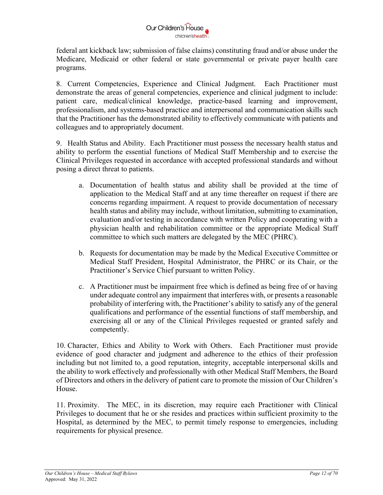

federal ant kickback law; submission of false claims) constituting fraud and/or abuse under the Medicare, Medicaid or other federal or state governmental or private payer health care programs.

8. Current Competencies, Experience and Clinical Judgment. Each Practitioner must demonstrate the areas of general competencies, experience and clinical judgment to include: patient care, medical/clinical knowledge, practice-based learning and improvement, professionalism, and systems-based practice and interpersonal and communication skills such that the Practitioner has the demonstrated ability to effectively communicate with patients and colleagues and to appropriately document.

9. Health Status and Ability. Each Practitioner must possess the necessary health status and ability to perform the essential functions of Medical Staff Membership and to exercise the Clinical Privileges requested in accordance with accepted professional standards and without posing a direct threat to patients.

- a. Documentation of health status and ability shall be provided at the time of application to the Medical Staff and at any time thereafter on request if there are concerns regarding impairment. A request to provide documentation of necessary health status and ability may include, without limitation, submitting to examination, evaluation and/or testing in accordance with written Policy and cooperating with a physician health and rehabilitation committee or the appropriate Medical Staff committee to which such matters are delegated by the MEC (PHRC).
- b. Requests for documentation may be made by the Medical Executive Committee or Medical Staff President, Hospital Administrator, the PHRC or its Chair, or the Practitioner's Service Chief pursuant to written Policy.
- c. A Practitioner must be impairment free which is defined as being free of or having under adequate control any impairment that interferes with, or presents a reasonable probability of interfering with, the Practitioner's ability to satisfy any of the general qualifications and performance of the essential functions of staff membership, and exercising all or any of the Clinical Privileges requested or granted safely and competently.

10. Character, Ethics and Ability to Work with Others. Each Practitioner must provide evidence of good character and judgment and adherence to the ethics of their profession including but not limited to, a good reputation, integrity, acceptable interpersonal skills and the ability to work effectively and professionally with other Medical Staff Members, the Board of Directors and others in the delivery of patient care to promote the mission of Our Children's House.

11. Proximity. The MEC, in its discretion, may require each Practitioner with Clinical Privileges to document that he or she resides and practices within sufficient proximity to the Hospital, as determined by the MEC, to permit timely response to emergencies, including requirements for physical presence.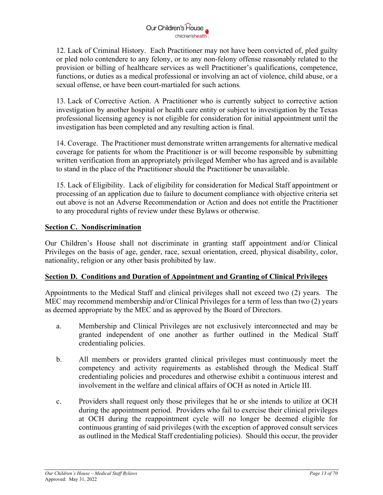12. Lack of Criminal History. Each Practitioner may not have been convicted of, pled guilty or pled nolo contendere to any felony, or to any non-felony offense reasonably related to the provision or billing of healthcare services as well Practitioner's qualifications, competence, functions, or duties as a medical professional or involving an act of violence, child abuse, or a sexual offense, or have been court-martialed for such actions*.* 

13. Lack of Corrective Action. A Practitioner who is currently subject to corrective action investigation by another hospital or health care entity or subject to investigation by the Texas professional licensing agency is not eligible for consideration for initial appointment until the investigation has been completed and any resulting action is final.

14. Coverage. The Practitioner must demonstrate written arrangements for alternative medical coverage for patients for whom the Practitioner is or will become responsible by submitting written verification from an appropriately privileged Member who has agreed and is available to stand in the place of the Practitioner should the Practitioner be unavailable.

15. Lack of Eligibility. Lack of eligibility for consideration for Medical Staff appointment or processing of an application due to failure to document compliance with objective criteria set out above is not an Adverse Recommendation or Action and does not entitle the Practitioner to any procedural rights of review under these Bylaws or otherwise.

### **Section C. Nondiscrimination**

Our Children's House shall not discriminate in granting staff appointment and/or Clinical Privileges on the basis of age, gender, race, sexual orientation, creed, physical disability, color, nationality, religion or any other basis prohibited by law.

## **Section D. Conditions and Duration of Appointment and Granting of Clinical Privileges**

Appointments to the Medical Staff and clinical privileges shall not exceed two (2) years. The MEC may recommend membership and/or Clinical Privileges for a term of less than two (2) years as deemed appropriate by the MEC and as approved by the Board of Directors.

- a. Membership and Clinical Privileges are not exclusively interconnected and may be granted independent of one another as further outlined in the Medical Staff credentialing policies.
- b. All members or providers granted clinical privileges must continuously meet the competency and activity requirements as established through the Medical Staff credentialing policies and procedures and otherwise exhibit a continuous interest and involvement in the welfare and clinical affairs of OCH as noted in Article III.
- c. Providers shall request only those privileges that he or she intends to utilize at OCH during the appointment period. Providers who fail to exercise their clinical privileges at OCH during the reappointment cycle will no longer be deemed eligible for continuous granting of said privileges (with the exception of approved consult services as outlined in the Medical Staff credentialing policies). Should this occur, the provider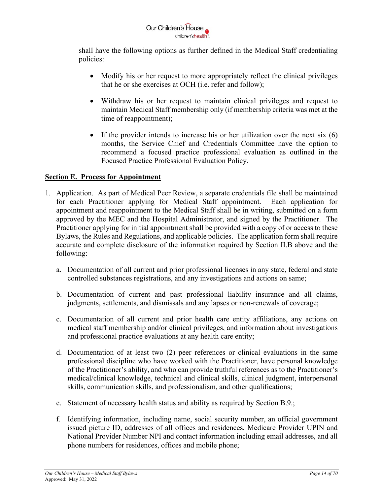

shall have the following options as further defined in the Medical Staff credentialing policies:

- Modify his or her request to more appropriately reflect the clinical privileges that he or she exercises at OCH (i.e. refer and follow);
- Withdraw his or her request to maintain clinical privileges and request to maintain Medical Staff membership only (if membership criteria was met at the time of reappointment);
- If the provider intends to increase his or her utilization over the next six  $(6)$ months, the Service Chief and Credentials Committee have the option to recommend a focused practice professional evaluation as outlined in the Focused Practice Professional Evaluation Policy.

## **Section E. Process for Appointment**

- 1. Application. As part of Medical Peer Review, a separate credentials file shall be maintained for each Practitioner applying for Medical Staff appointment. Each application for appointment and reappointment to the Medical Staff shall be in writing, submitted on a form approved by the MEC and the Hospital Administrator, and signed by the Practitioner. The Practitioner applying for initial appointment shall be provided with a copy of or access to these Bylaws, the Rules and Regulations, and applicable policies. The application form shall require accurate and complete disclosure of the information required by Section II.B above and the following:
	- a. Documentation of all current and prior professional licenses in any state, federal and state controlled substances registrations, and any investigations and actions on same;
	- b. Documentation of current and past professional liability insurance and all claims, judgments, settlements, and dismissals and any lapses or non-renewals of coverage;
	- c. Documentation of all current and prior health care entity affiliations, any actions on medical staff membership and/or clinical privileges, and information about investigations and professional practice evaluations at any health care entity;
	- d. Documentation of at least two (2) peer references or clinical evaluations in the same professional discipline who have worked with the Practitioner, have personal knowledge of the Practitioner's ability, and who can provide truthful references as to the Practitioner's medical/clinical knowledge, technical and clinical skills, clinical judgment, interpersonal skills, communication skills, and professionalism, and other qualifications;
	- e. Statement of necessary health status and ability as required by Section B.9.;
	- f. Identifying information, including name, social security number, an official government issued picture ID, addresses of all offices and residences, Medicare Provider UPIN and National Provider Number NPI and contact information including email addresses, and all phone numbers for residences, offices and mobile phone;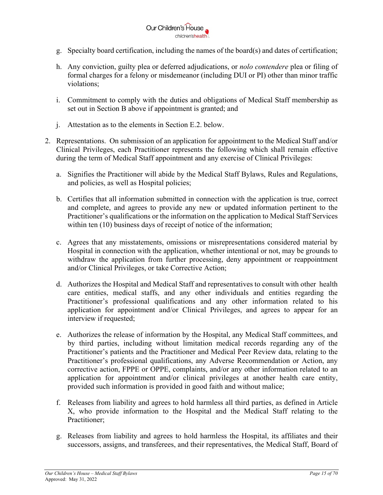

- g. Specialty board certification, including the names of the board(s) and dates of certification;
- h. Any conviction, guilty plea or deferred adjudications, or *nolo contendere* plea or filing of formal charges for a felony or misdemeanor (including DUI or PI) other than minor traffic violations;
- i. Commitment to comply with the duties and obligations of Medical Staff membership as set out in Section B above if appointment is granted; and
- j. Attestation as to the elements in Section E.2. below.
- 2. Representations. On submission of an application for appointment to the Medical Staff and/or Clinical Privileges, each Practitioner represents the following which shall remain effective during the term of Medical Staff appointment and any exercise of Clinical Privileges:
	- a. Signifies the Practitioner will abide by the Medical Staff Bylaws, Rules and Regulations, and policies, as well as Hospital policies;
	- b. Certifies that all information submitted in connection with the application is true, correct and complete, and agrees to provide any new or updated information pertinent to the Practitioner's qualifications or the information on the application to Medical Staff Services within ten (10) business days of receipt of notice of the information;
	- c. Agrees that any misstatements, omissions or misrepresentations considered material by Hospital in connection with the application, whether intentional or not, may be grounds to withdraw the application from further processing, deny appointment or reappointment and/or Clinical Privileges, or take Corrective Action;
	- d. Authorizes the Hospital and Medical Staff and representatives to consult with other health care entities, medical staffs, and any other individuals and entities regarding the Practitioner's professional qualifications and any other information related to his application for appointment and/or Clinical Privileges, and agrees to appear for an interview if requested;
	- e. Authorizes the release of information by the Hospital, any Medical Staff committees, and by third parties, including without limitation medical records regarding any of the Practitioner's patients and the Practitioner and Medical Peer Review data, relating to the Practitioner's professional qualifications, any Adverse Recommendation or Action, any corrective action, FPPE or OPPE, complaints, and/or any other information related to an application for appointment and/or clinical privileges at another health care entity, provided such information is provided in good faith and without malice;
	- f. Releases from liability and agrees to hold harmless all third parties, as defined in Article X, who provide information to the Hospital and the Medical Staff relating to the Practitioner;
	- g. Releases from liability and agrees to hold harmless the Hospital, its affiliates and their successors, assigns, and transferees, and their representatives, the Medical Staff, Board of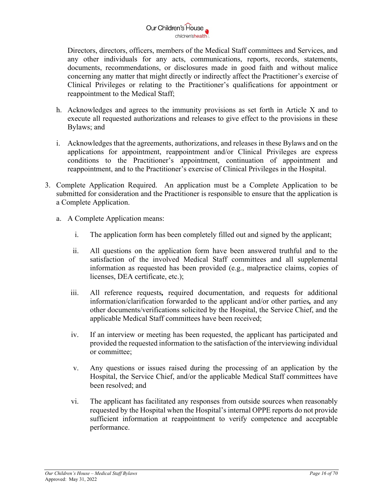

Directors, directors, officers, members of the Medical Staff committees and Services, and any other individuals for any acts, communications, reports, records, statements, documents, recommendations, or disclosures made in good faith and without malice concerning any matter that might directly or indirectly affect the Practitioner's exercise of Clinical Privileges or relating to the Practitioner's qualifications for appointment or reappointment to the Medical Staff;

- h. Acknowledges and agrees to the immunity provisions as set forth in Article X and to execute all requested authorizations and releases to give effect to the provisions in these Bylaws; and
- i. Acknowledges that the agreements, authorizations, and releases in these Bylaws and on the applications for appointment, reappointment and/or Clinical Privileges are express conditions to the Practitioner's appointment, continuation of appointment and reappointment, and to the Practitioner's exercise of Clinical Privileges in the Hospital.
- 3. Complete Application Required. An application must be a Complete Application to be submitted for consideration and the Practitioner is responsible to ensure that the application is a Complete Application.
	- a. A Complete Application means:
		- i. The application form has been completely filled out and signed by the applicant;
		- ii. All questions on the application form have been answered truthful and to the satisfaction of the involved Medical Staff committees and all supplemental information as requested has been provided (e.g., malpractice claims, copies of licenses, DEA certificate, etc.);
		- iii. All reference requests*,* required documentation, and requests for additional information/clarification forwarded to the applicant and/or other parties*,* and any other documents/verifications solicited by the Hospital, the Service Chief, and the applicable Medical Staff committees have been received;
		- iv. If an interview or meeting has been requested, the applicant has participated and provided the requested information to the satisfaction of the interviewing individual or committee;
		- v. Any questions or issues raised during the processing of an application by the Hospital, the Service Chief, and/or the applicable Medical Staff committees have been resolved; and
		- vi. The applicant has facilitated any responses from outside sources when reasonably requested by the Hospital when the Hospital's internal OPPE reports do not provide sufficient information at reappointment to verify competence and acceptable performance.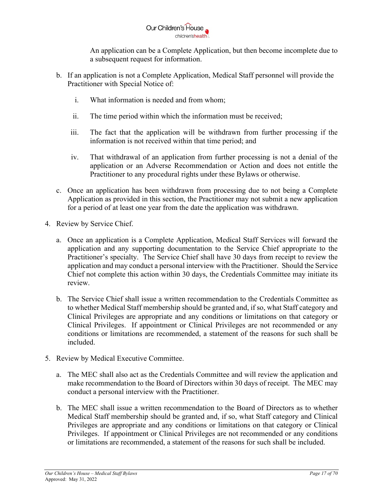

An application can be a Complete Application, but then become incomplete due to a subsequent request for information.

- b. If an application is not a Complete Application, Medical Staff personnel will provide the Practitioner with Special Notice of:
	- i. What information is needed and from whom;
	- ii. The time period within which the information must be received;
	- iii. The fact that the application will be withdrawn from further processing if the information is not received within that time period; and
	- iv. That withdrawal of an application from further processing is not a denial of the application or an Adverse Recommendation or Action and does not entitle the Practitioner to any procedural rights under these Bylaws or otherwise.
- c. Once an application has been withdrawn from processing due to not being a Complete Application as provided in this section, the Practitioner may not submit a new application for a period of at least one year from the date the application was withdrawn.
- 4. Review by Service Chief.
	- a. Once an application is a Complete Application, Medical Staff Services will forward the application and any supporting documentation to the Service Chief appropriate to the Practitioner's specialty. The Service Chief shall have 30 days from receipt to review the application and may conduct a personal interview with the Practitioner. Should the Service Chief not complete this action within 30 days, the Credentials Committee may initiate its review.
	- b. The Service Chief shall issue a written recommendation to the Credentials Committee as to whether Medical Staff membership should be granted and, if so, what Staff category and Clinical Privileges are appropriate and any conditions or limitations on that category or Clinical Privileges. If appointment or Clinical Privileges are not recommended or any conditions or limitations are recommended, a statement of the reasons for such shall be included.
- 5. Review by Medical Executive Committee.
	- a. The MEC shall also act as the Credentials Committee and will review the application and make recommendation to the Board of Directors within 30 days of receipt. The MEC may conduct a personal interview with the Practitioner.
	- b. The MEC shall issue a written recommendation to the Board of Directors as to whether Medical Staff membership should be granted and, if so, what Staff category and Clinical Privileges are appropriate and any conditions or limitations on that category or Clinical Privileges. If appointment or Clinical Privileges are not recommended or any conditions or limitations are recommended, a statement of the reasons for such shall be included.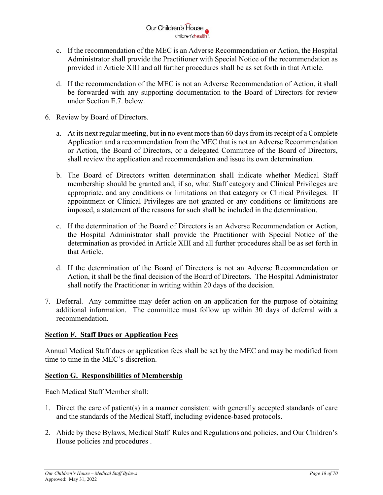

- c. If the recommendation of the MEC is an Adverse Recommendation or Action, the Hospital Administrator shall provide the Practitioner with Special Notice of the recommendation as provided in Article XIII and all further procedures shall be as set forth in that Article.
- d. If the recommendation of the MEC is not an Adverse Recommendation of Action, it shall be forwarded with any supporting documentation to the Board of Directors for review under Section E.7. below.
- 6. Review by Board of Directors.
	- a. At its next regular meeting, but in no event more than 60 days from its receipt of a Complete Application and a recommendation from the MEC that is not an Adverse Recommendation or Action, the Board of Directors, or a delegated Committee of the Board of Directors, shall review the application and recommendation and issue its own determination.
	- b. The Board of Directors written determination shall indicate whether Medical Staff membership should be granted and, if so, what Staff category and Clinical Privileges are appropriate, and any conditions or limitations on that category or Clinical Privileges. If appointment or Clinical Privileges are not granted or any conditions or limitations are imposed, a statement of the reasons for such shall be included in the determination.
	- c. If the determination of the Board of Directors is an Adverse Recommendation or Action, the Hospital Administrator shall provide the Practitioner with Special Notice of the determination as provided in Article XIII and all further procedures shall be as set forth in that Article.
	- d. If the determination of the Board of Directors is not an Adverse Recommendation or Action, it shall be the final decision of the Board of Directors. The Hospital Administrator shall notify the Practitioner in writing within 20 days of the decision.
- 7. Deferral. Any committee may defer action on an application for the purpose of obtaining additional information. The committee must follow up within 30 days of deferral with a recommendation.

## **Section F. Staff Dues or Application Fees**

Annual Medical Staff dues or application fees shall be set by the MEC and may be modified from time to time in the MEC's discretion.

## **Section G. Responsibilities of Membership**

Each Medical Staff Member shall:

- 1. Direct the care of patient(s) in a manner consistent with generally accepted standards of care and the standards of the Medical Staff, including evidence-based protocols.
- 2. Abide by these Bylaws, Medical Staff Rules and Regulations and policies, and Our Children's House policies and procedures .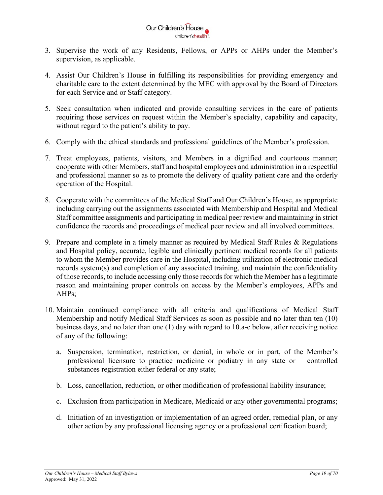

- 3. Supervise the work of any Residents, Fellows, or APPs or AHPs under the Member's supervision, as applicable.
- 4. Assist Our Children's House in fulfilling its responsibilities for providing emergency and charitable care to the extent determined by the MEC with approval by the Board of Directors for each Service and or Staff category.
- 5. Seek consultation when indicated and provide consulting services in the care of patients requiring those services on request within the Member's specialty, capability and capacity, without regard to the patient's ability to pay.
- 6. Comply with the ethical standards and professional guidelines of the Member's profession.
- 7. Treat employees, patients, visitors, and Members in a dignified and courteous manner; cooperate with other Members, staff and hospital employees and administration in a respectful and professional manner so as to promote the delivery of quality patient care and the orderly operation of the Hospital.
- 8. Cooperate with the committees of the Medical Staff and Our Children's House, as appropriate including carrying out the assignments associated with Membership and Hospital and Medical Staff committee assignments and participating in medical peer review and maintaining in strict confidence the records and proceedings of medical peer review and all involved committees.
- 9. Prepare and complete in a timely manner as required by Medical Staff Rules & Regulations and Hospital policy, accurate, legible and clinically pertinent medical records for all patients to whom the Member provides care in the Hospital, including utilization of electronic medical records system(s) and completion of any associated training, and maintain the confidentiality of those records, to include accessing only those records for which the Member has a legitimate reason and maintaining proper controls on access by the Member's employees, APPs and AHPs;
- 10. Maintain continued compliance with all criteria and qualifications of Medical Staff Membership and notify Medical Staff Services as soon as possible and no later than ten (10) business days, and no later than one (1) day with regard to 10.a-c below, after receiving notice of any of the following:
	- a. Suspension, termination, restriction, or denial, in whole or in part, of the Member's professional licensure to practice medicine or podiatry in any state or controlled substances registration either federal or any state;
	- b. Loss, cancellation, reduction, or other modification of professional liability insurance;
	- c. Exclusion from participation in Medicare, Medicaid or any other governmental programs;
	- d. Initiation of an investigation or implementation of an agreed order, remedial plan, or any other action by any professional licensing agency or a professional certification board;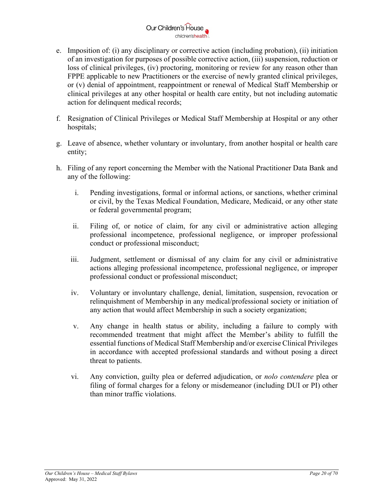## Our Children's House children'shealth?

- e. Imposition of: (i) any disciplinary or corrective action (including probation), (ii) initiation of an investigation for purposes of possible corrective action, (iii) suspension, reduction or loss of clinical privileges, (iv) proctoring, monitoring or review for any reason other than FPPE applicable to new Practitioners or the exercise of newly granted clinical privileges, or (v) denial of appointment, reappointment or renewal of Medical Staff Membership or clinical privileges at any other hospital or health care entity, but not including automatic action for delinquent medical records;
- f. Resignation of Clinical Privileges or Medical Staff Membership at Hospital or any other hospitals;
- g. Leave of absence, whether voluntary or involuntary, from another hospital or health care entity;
- h. Filing of any report concerning the Member with the National Practitioner Data Bank and any of the following:
	- i. Pending investigations, formal or informal actions, or sanctions, whether criminal or civil, by the Texas Medical Foundation, Medicare, Medicaid, or any other state or federal governmental program;
	- ii. Filing of, or notice of claim, for any civil or administrative action alleging professional incompetence, professional negligence, or improper professional conduct or professional misconduct;
	- iii. Judgment, settlement or dismissal of any claim for any civil or administrative actions alleging professional incompetence, professional negligence, or improper professional conduct or professional misconduct;
	- iv. Voluntary or involuntary challenge, denial, limitation, suspension, revocation or relinquishment of Membership in any medical/professional society or initiation of any action that would affect Membership in such a society organization;
	- v. Any change in health status or ability, including a failure to comply with recommended treatment that might affect the Member's ability to fulfill the essential functions of Medical Staff Membership and/or exercise Clinical Privileges in accordance with accepted professional standards and without posing a direct threat to patients.
	- vi. Any conviction, guilty plea or deferred adjudication, or *nolo contendere* plea or filing of formal charges for a felony or misdemeanor (including DUI or PI) other than minor traffic violations.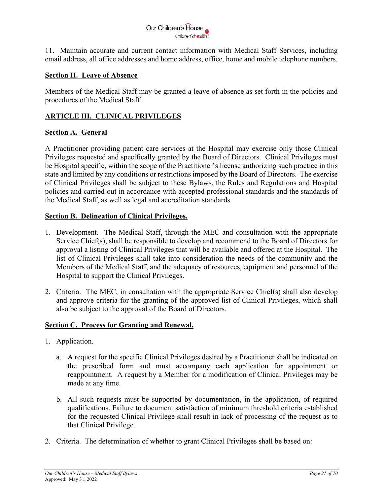

11. Maintain accurate and current contact information with Medical Staff Services, including email address, all office addresses and home address, office, home and mobile telephone numbers.

## **Section H. Leave of Absence**

Members of the Medical Staff may be granted a leave of absence as set forth in the policies and procedures of the Medical Staff.

## **ARTICLE III. CLINICAL PRIVILEGES**

### **Section A. General**

A Practitioner providing patient care services at the Hospital may exercise only those Clinical Privileges requested and specifically granted by the Board of Directors. Clinical Privileges must be Hospital specific, within the scope of the Practitioner's license authorizing such practice in this state and limited by any conditions or restrictions imposed by the Board of Directors. The exercise of Clinical Privileges shall be subject to these Bylaws, the Rules and Regulations and Hospital policies and carried out in accordance with accepted professional standards and the standards of the Medical Staff, as well as legal and accreditation standards.

### **Section B. Delineation of Clinical Privileges.**

- 1. Development. The Medical Staff, through the MEC and consultation with the appropriate Service Chief(s), shall be responsible to develop and recommend to the Board of Directors for approval a listing of Clinical Privileges that will be available and offered at the Hospital. The list of Clinical Privileges shall take into consideration the needs of the community and the Members of the Medical Staff, and the adequacy of resources, equipment and personnel of the Hospital to support the Clinical Privileges.
- 2. Criteria. The MEC, in consultation with the appropriate Service Chief(s) shall also develop and approve criteria for the granting of the approved list of Clinical Privileges, which shall also be subject to the approval of the Board of Directors.

#### **Section C. Process for Granting and Renewal.**

- 1. Application.
	- a. A request for the specific Clinical Privileges desired by a Practitioner shall be indicated on the prescribed form and must accompany each application for appointment or reappointment. A request by a Member for a modification of Clinical Privileges may be made at any time.
	- b. All such requests must be supported by documentation, in the application, of required qualifications. Failure to document satisfaction of minimum threshold criteria established for the requested Clinical Privilege shall result in lack of processing of the request as to that Clinical Privilege.
- 2. Criteria. The determination of whether to grant Clinical Privileges shall be based on: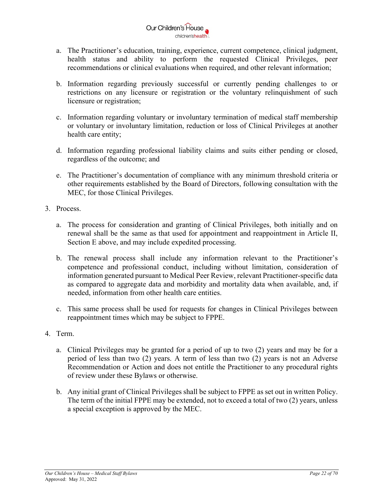

- a. The Practitioner's education, training, experience, current competence, clinical judgment, health status and ability to perform the requested Clinical Privileges, peer recommendations or clinical evaluations when required, and other relevant information;
- b. Information regarding previously successful or currently pending challenges to or restrictions on any licensure or registration or the voluntary relinquishment of such licensure or registration;
- c. Information regarding voluntary or involuntary termination of medical staff membership or voluntary or involuntary limitation, reduction or loss of Clinical Privileges at another health care entity;
- d. Information regarding professional liability claims and suits either pending or closed, regardless of the outcome; and
- e. The Practitioner's documentation of compliance with any minimum threshold criteria or other requirements established by the Board of Directors, following consultation with the MEC, for those Clinical Privileges.
- 3. Process.
	- a. The process for consideration and granting of Clinical Privileges, both initially and on renewal shall be the same as that used for appointment and reappointment in Article II, Section E above, and may include expedited processing.
	- b. The renewal process shall include any information relevant to the Practitioner's competence and professional conduct, including without limitation, consideration of information generated pursuant to Medical Peer Review, relevant Practitioner-specific data as compared to aggregate data and morbidity and mortality data when available, and, if needed, information from other health care entities.
	- c. This same process shall be used for requests for changes in Clinical Privileges between reappointment times which may be subject to FPPE.
- 4. Term.
	- a. Clinical Privileges may be granted for a period of up to two (2) years and may be for a period of less than two (2) years. A term of less than two (2) years is not an Adverse Recommendation or Action and does not entitle the Practitioner to any procedural rights of review under these Bylaws or otherwise.
	- b. Any initial grant of Clinical Privileges shall be subject to FPPE as set out in written Policy. The term of the initial FPPE may be extended, not to exceed a total of two (2) years, unless a special exception is approved by the MEC.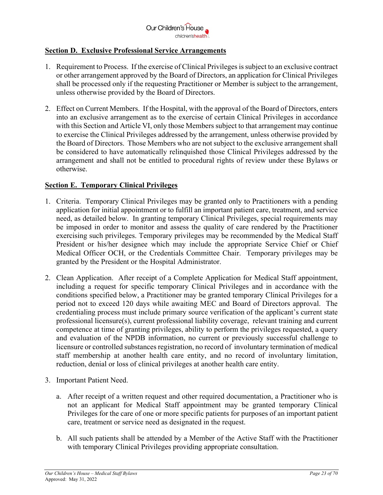

## **Section D. Exclusive Professional Service Arrangements**

- 1. Requirement to Process. If the exercise of Clinical Privileges is subject to an exclusive contract or other arrangement approved by the Board of Directors, an application for Clinical Privileges shall be processed only if the requesting Practitioner or Member is subject to the arrangement, unless otherwise provided by the Board of Directors.
- 2. Effect on Current Members. If the Hospital, with the approval of the Board of Directors, enters into an exclusive arrangement as to the exercise of certain Clinical Privileges in accordance with this Section and Article VI, only those Members subject to that arrangement may continue to exercise the Clinical Privileges addressed by the arrangement, unless otherwise provided by the Board of Directors. Those Members who are not subject to the exclusive arrangement shall be considered to have automatically relinquished those Clinical Privileges addressed by the arrangement and shall not be entitled to procedural rights of review under these Bylaws or otherwise.

### **Section E. Temporary Clinical Privileges**

- 1. Criteria. Temporary Clinical Privileges may be granted only to Practitioners with a pending application for initial appointment or to fulfill an important patient care, treatment, and service need, as detailed below. In granting temporary Clinical Privileges, special requirements may be imposed in order to monitor and assess the quality of care rendered by the Practitioner exercising such privileges. Temporary privileges may be recommended by the Medical Staff President or his/her designee which may include the appropriate Service Chief or Chief Medical Officer OCH, or the Credentials Committee Chair. Temporary privileges may be granted by the President or the Hospital Administrator.
- 2. Clean Application. After receipt of a Complete Application for Medical Staff appointment, including a request for specific temporary Clinical Privileges and in accordance with the conditions specified below, a Practitioner may be granted temporary Clinical Privileges for a period not to exceed 120 days while awaiting MEC and Board of Directors approval. The credentialing process must include primary source verification of the applicant's current state professional licensure(s), current professional liability coverage, relevant training and current competence at time of granting privileges, ability to perform the privileges requested, a query and evaluation of the NPDB information, no current or previously successful challenge to licensure or controlled substances registration, no record of involuntary termination of medical staff membership at another health care entity, and no record of involuntary limitation, reduction, denial or loss of clinical privileges at another health care entity.
- 3. Important Patient Need.
	- a. After receipt of a written request and other required documentation, a Practitioner who is not an applicant for Medical Staff appointment may be granted temporary Clinical Privileges for the care of one or more specific patients for purposes of an important patient care, treatment or service need as designated in the request.
	- b. All such patients shall be attended by a Member of the Active Staff with the Practitioner with temporary Clinical Privileges providing appropriate consultation.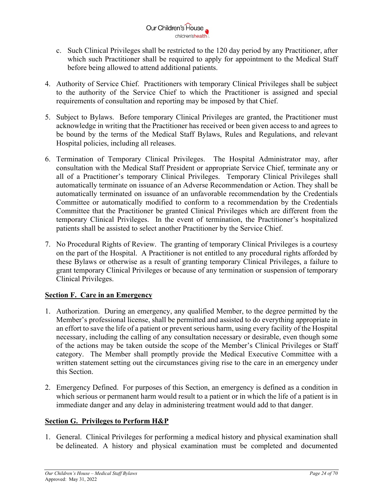

- c. Such Clinical Privileges shall be restricted to the 120 day period by any Practitioner, after which such Practitioner shall be required to apply for appointment to the Medical Staff before being allowed to attend additional patients.
- 4. Authority of Service Chief. Practitioners with temporary Clinical Privileges shall be subject to the authority of the Service Chief to which the Practitioner is assigned and special requirements of consultation and reporting may be imposed by that Chief.
- 5. Subject to Bylaws. Before temporary Clinical Privileges are granted, the Practitioner must acknowledge in writing that the Practitioner has received or been given access to and agrees to be bound by the terms of the Medical Staff Bylaws, Rules and Regulations, and relevant Hospital policies, including all releases.
- 6. Termination of Temporary Clinical Privileges. The Hospital Administrator may, after consultation with the Medical Staff President or appropriate Service Chief, terminate any or all of a Practitioner's temporary Clinical Privileges. Temporary Clinical Privileges shall automatically terminate on issuance of an Adverse Recommendation or Action. They shall be automatically terminated on issuance of an unfavorable recommendation by the Credentials Committee or automatically modified to conform to a recommendation by the Credentials Committee that the Practitioner be granted Clinical Privileges which are different from the temporary Clinical Privileges. In the event of termination, the Practitioner's hospitalized patients shall be assisted to select another Practitioner by the Service Chief.
- 7. No Procedural Rights of Review. The granting of temporary Clinical Privileges is a courtesy on the part of the Hospital. A Practitioner is not entitled to any procedural rights afforded by these Bylaws or otherwise as a result of granting temporary Clinical Privileges, a failure to grant temporary Clinical Privileges or because of any termination or suspension of temporary Clinical Privileges.

## **Section F. Care in an Emergency**

- 1. Authorization. During an emergency, any qualified Member, to the degree permitted by the Member's professional license, shall be permitted and assisted to do everything appropriate in an effort to save the life of a patient or prevent serious harm, using every facility of the Hospital necessary, including the calling of any consultation necessary or desirable, even though some of the actions may be taken outside the scope of the Member's Clinical Privileges or Staff category. The Member shall promptly provide the Medical Executive Committee with a written statement setting out the circumstances giving rise to the care in an emergency under this Section.
- 2. Emergency Defined. For purposes of this Section, an emergency is defined as a condition in which serious or permanent harm would result to a patient or in which the life of a patient is in immediate danger and any delay in administering treatment would add to that danger.

# **Section G. Privileges to Perform H&P**

1. General. Clinical Privileges for performing a medical history and physical examination shall be delineated. A history and physical examination must be completed and documented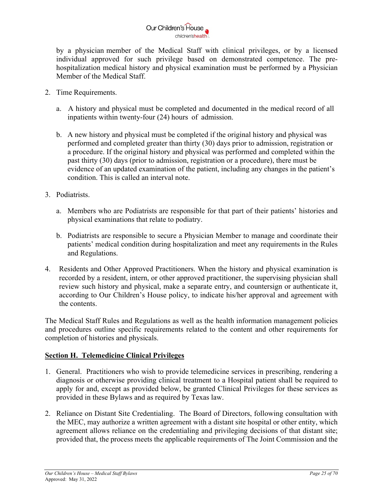

by a physician member of the Medical Staff with clinical privileges, or by a licensed individual approved for such privilege based on demonstrated competence. The prehospitalization medical history and physical examination must be performed by a Physician Member of the Medical Staff.

- 2. Time Requirements.
	- a. A history and physical must be completed and documented in the medical record of all inpatients within twenty-four (24) hours of admission.
	- b. A new history and physical must be completed if the original history and physical was performed and completed greater than thirty (30) days prior to admission, registration or a procedure. If the original history and physical was performed and completed within the past thirty (30) days (prior to admission, registration or a procedure), there must be evidence of an updated examination of the patient, including any changes in the patient's condition. This is called an interval note.
- 3. Podiatrists.
	- a. Members who are Podiatrists are responsible for that part of their patients' histories and physical examinations that relate to podiatry.
	- b. Podiatrists are responsible to secure a Physician Member to manage and coordinate their patients' medical condition during hospitalization and meet any requirements in the Rules and Regulations.
- 4. Residents and Other Approved Practitioners. When the history and physical examination is recorded by a resident, intern, or other approved practitioner, the supervising physician shall review such history and physical, make a separate entry, and countersign or authenticate it, according to Our Children's House policy, to indicate his/her approval and agreement with the contents.

The Medical Staff Rules and Regulations as well as the health information management policies and procedures outline specific requirements related to the content and other requirements for completion of histories and physicals.

## **Section H. Telemedicine Clinical Privileges**

- 1. General. Practitioners who wish to provide telemedicine services in prescribing, rendering a diagnosis or otherwise providing clinical treatment to a Hospital patient shall be required to apply for and, except as provided below, be granted Clinical Privileges for these services as provided in these Bylaws and as required by Texas law.
- 2. Reliance on Distant Site Credentialing. The Board of Directors, following consultation with the MEC, may authorize a written agreement with a distant site hospital or other entity, which agreement allows reliance on the credentialing and privileging decisions of that distant site; provided that, the process meets the applicable requirements of The Joint Commission and the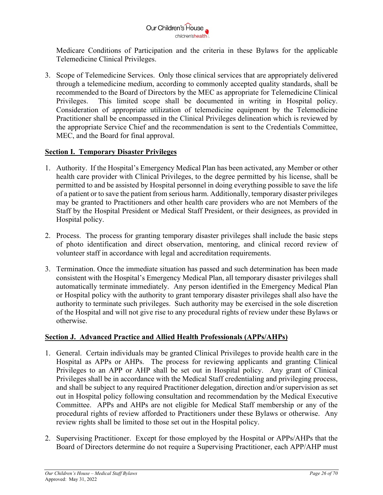

Medicare Conditions of Participation and the criteria in these Bylaws for the applicable Telemedicine Clinical Privileges.

3. Scope of Telemedicine Services. Only those clinical services that are appropriately delivered through a telemedicine medium, according to commonly accepted quality standards, shall be recommended to the Board of Directors by the MEC as appropriate for Telemedicine Clinical Privileges. This limited scope shall be documented in writing in Hospital policy. Consideration of appropriate utilization of telemedicine equipment by the Telemedicine Practitioner shall be encompassed in the Clinical Privileges delineation which is reviewed by the appropriate Service Chief and the recommendation is sent to the Credentials Committee, MEC, and the Board for final approval.

#### **Section I. Temporary Disaster Privileges**

- 1. Authority. If the Hospital's Emergency Medical Plan has been activated, any Member or other health care provider with Clinical Privileges, to the degree permitted by his license, shall be permitted to and be assisted by Hospital personnel in doing everything possible to save the life of a patient or to save the patient from serious harm. Additionally, temporary disaster privileges may be granted to Practitioners and other health care providers who are not Members of the Staff by the Hospital President or Medical Staff President, or their designees, as provided in Hospital policy.
- 2. Process. The process for granting temporary disaster privileges shall include the basic steps of photo identification and direct observation, mentoring, and clinical record review of volunteer staff in accordance with legal and accreditation requirements.
- 3. Termination. Once the immediate situation has passed and such determination has been made consistent with the Hospital's Emergency Medical Plan, all temporary disaster privileges shall automatically terminate immediately. Any person identified in the Emergency Medical Plan or Hospital policy with the authority to grant temporary disaster privileges shall also have the authority to terminate such privileges. Such authority may be exercised in the sole discretion of the Hospital and will not give rise to any procedural rights of review under these Bylaws or otherwise.

## **Section J. Advanced Practice and Allied Health Professionals (APPs/AHPs)**

- 1. General. Certain individuals may be granted Clinical Privileges to provide health care in the Hospital as APPs or AHPs. The process for reviewing applicants and granting Clinical Privileges to an APP or AHP shall be set out in Hospital policy. Any grant of Clinical Privileges shall be in accordance with the Medical Staff credentialing and privileging process, and shall be subject to any required Practitioner delegation, direction and/or supervision as set out in Hospital policy following consultation and recommendation by the Medical Executive Committee. APPs and AHPs are not eligible for Medical Staff membership or any of the procedural rights of review afforded to Practitioners under these Bylaws or otherwise. Any review rights shall be limited to those set out in the Hospital policy.
- 2. Supervising Practitioner. Except for those employed by the Hospital or APPs/AHPs that the Board of Directors determine do not require a Supervising Practitioner, each APP/AHP must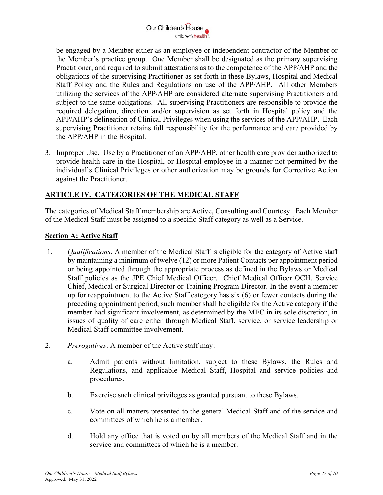

be engaged by a Member either as an employee or independent contractor of the Member or the Member's practice group. One Member shall be designated as the primary supervising Practitioner, and required to submit attestations as to the competence of the APP/AHP and the obligations of the supervising Practitioner as set forth in these Bylaws, Hospital and Medical Staff Policy and the Rules and Regulations on use of the APP/AHP. All other Members utilizing the services of the APP/AHP are considered alternate supervising Practitioners and subject to the same obligations. All supervising Practitioners are responsible to provide the required delegation, direction and/or supervision as set forth in Hospital policy and the APP/AHP's delineation of Clinical Privileges when using the services of the APP/AHP. Each supervising Practitioner retains full responsibility for the performance and care provided by the APP/AHP in the Hospital.

3. Improper Use. Use by a Practitioner of an APP/AHP, other health care provider authorized to provide health care in the Hospital, or Hospital employee in a manner not permitted by the individual's Clinical Privileges or other authorization may be grounds for Corrective Action against the Practitioner.

## **ARTICLE IV. CATEGORIES OF THE MEDICAL STAFF**

The categories of Medical Staff membership are Active, Consulting and Courtesy. Each Member of the Medical Staff must be assigned to a specific Staff category as well as a Service.

#### **Section A: Active Staff**

- 1. *Qualifications*. A member of the Medical Staff is eligible for the category of Active staff by maintaining a minimum of twelve (12) or more Patient Contacts per appointment period or being appointed through the appropriate process as defined in the Bylaws or Medical Staff policies as the JPE Chief Medical Officer, Chief Medical Officer OCH, Service Chief, Medical or Surgical Director or Training Program Director. In the event a member up for reappointment to the Active Staff category has six (6) or fewer contacts during the preceding appointment period, such member shall be eligible for the Active category if the member had significant involvement, as determined by the MEC in its sole discretion, in issues of quality of care either through Medical Staff, service, or service leadership or Medical Staff committee involvement.
- 2. *Prerogatives*. A member of the Active staff may:
	- a. Admit patients without limitation, subject to these Bylaws, the Rules and Regulations, and applicable Medical Staff, Hospital and service policies and procedures.
	- b. Exercise such clinical privileges as granted pursuant to these Bylaws.
	- c. Vote on all matters presented to the general Medical Staff and of the service and committees of which he is a member.
	- d. Hold any office that is voted on by all members of the Medical Staff and in the service and committees of which he is a member.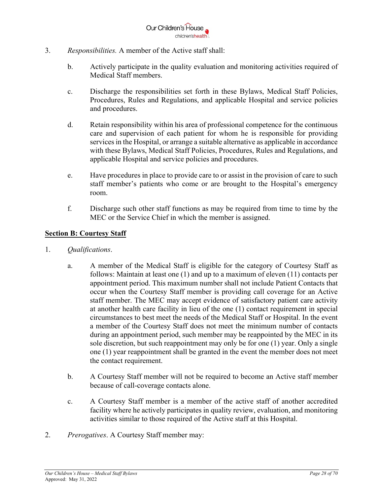

- 3. *Responsibilities.* A member of the Active staff shall:
	- b. Actively participate in the quality evaluation and monitoring activities required of Medical Staff members.
	- c. Discharge the responsibilities set forth in these Bylaws, Medical Staff Policies, Procedures, Rules and Regulations, and applicable Hospital and service policies and procedures.
	- d. Retain responsibility within his area of professional competence for the continuous care and supervision of each patient for whom he is responsible for providing services in the Hospital, or arrange a suitable alternative as applicable in accordance with these Bylaws, Medical Staff Policies, Procedures, Rules and Regulations, and applicable Hospital and service policies and procedures.
	- e. Have procedures in place to provide care to or assist in the provision of care to such staff member's patients who come or are brought to the Hospital's emergency room.
	- f. Discharge such other staff functions as may be required from time to time by the MEC or the Service Chief in which the member is assigned.

### **Section B: Courtesy Staff**

- 1. *Qualifications*.
	- a. A member of the Medical Staff is eligible for the category of Courtesy Staff as follows: Maintain at least one (1) and up to a maximum of eleven (11) contacts per appointment period. This maximum number shall not include Patient Contacts that occur when the Courtesy Staff member is providing call coverage for an Active staff member. The MEC may accept evidence of satisfactory patient care activity at another health care facility in lieu of the one (1) contact requirement in special circumstances to best meet the needs of the Medical Staff or Hospital. In the event a member of the Courtesy Staff does not meet the minimum number of contacts during an appointment period, such member may be reappointed by the MEC in its sole discretion, but such reappointment may only be for one (1) year. Only a single one (1) year reappointment shall be granted in the event the member does not meet the contact requirement.
	- b. A Courtesy Staff member will not be required to become an Active staff member because of call-coverage contacts alone.
	- c. A Courtesy Staff member is a member of the active staff of another accredited facility where he actively participates in quality review, evaluation, and monitoring activities similar to those required of the Active staff at this Hospital.
- 2. *Prerogatives*. A Courtesy Staff member may: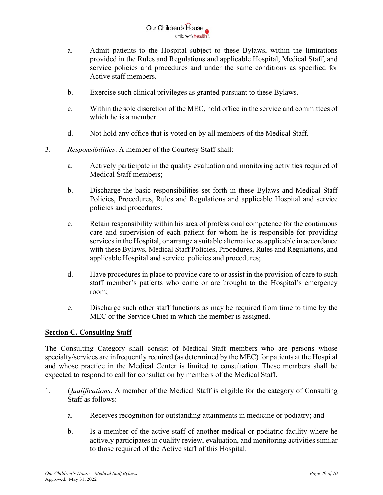

- a. Admit patients to the Hospital subject to these Bylaws, within the limitations provided in the Rules and Regulations and applicable Hospital, Medical Staff, and service policies and procedures and under the same conditions as specified for Active staff members.
- b. Exercise such clinical privileges as granted pursuant to these Bylaws.
- c. Within the sole discretion of the MEC, hold office in the service and committees of which he is a member.
- d. Not hold any office that is voted on by all members of the Medical Staff.
- 3. *Responsibilities*. A member of the Courtesy Staff shall:
	- a. Actively participate in the quality evaluation and monitoring activities required of Medical Staff members;
	- b. Discharge the basic responsibilities set forth in these Bylaws and Medical Staff Policies, Procedures, Rules and Regulations and applicable Hospital and service policies and procedures;
	- c. Retain responsibility within his area of professional competence for the continuous care and supervision of each patient for whom he is responsible for providing services in the Hospital, or arrange a suitable alternative as applicable in accordance with these Bylaws, Medical Staff Policies, Procedures, Rules and Regulations, and applicable Hospital and service policies and procedures;
	- d. Have procedures in place to provide care to or assist in the provision of care to such staff member's patients who come or are brought to the Hospital's emergency room;
	- e. Discharge such other staff functions as may be required from time to time by the MEC or the Service Chief in which the member is assigned.

#### **Section C. Consulting Staff**

The Consulting Category shall consist of Medical Staff members who are persons whose specialty/services are infrequently required (as determined by the MEC) for patients at the Hospital and whose practice in the Medical Center is limited to consultation. These members shall be expected to respond to call for consultation by members of the Medical Staff.

- 1. *Qualifications*. A member of the Medical Staff is eligible for the category of Consulting Staff as follows:
	- a. Receives recognition for outstanding attainments in medicine or podiatry; and
	- b. Is a member of the active staff of another medical or podiatric facility where he actively participates in quality review, evaluation, and monitoring activities similar to those required of the Active staff of this Hospital.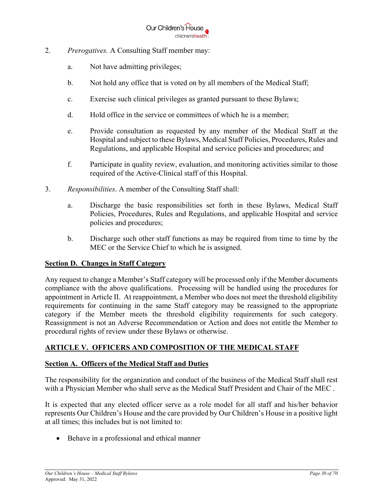

- 2. *Prerogatives.* A Consulting Staff member may:
	- a. Not have admitting privileges;
	- b. Not hold any office that is voted on by all members of the Medical Staff;
	- c. Exercise such clinical privileges as granted pursuant to these Bylaws;
	- d. Hold office in the service or committees of which he is a member;
	- e. Provide consultation as requested by any member of the Medical Staff at the Hospital and subject to these Bylaws, Medical Staff Policies, Procedures, Rules and Regulations, and applicable Hospital and service policies and procedures; and
	- f. Participate in quality review, evaluation, and monitoring activities similar to those required of the Active-Clinical staff of this Hospital.
- 3. *Responsibilities*. A member of the Consulting Staff shall:
	- a. Discharge the basic responsibilities set forth in these Bylaws, Medical Staff Policies, Procedures, Rules and Regulations, and applicable Hospital and service policies and procedures;
	- b. Discharge such other staff functions as may be required from time to time by the MEC or the Service Chief to which he is assigned.

#### **Section D. Changes in Staff Category**

Any request to change a Member's Staff category will be processed only if the Member documents compliance with the above qualifications. Processing will be handled using the procedures for appointment in Article II. At reappointment, a Member who does not meet the threshold eligibility requirements for continuing in the same Staff category may be reassigned to the appropriate category if the Member meets the threshold eligibility requirements for such category. Reassignment is not an Adverse Recommendation or Action and does not entitle the Member to procedural rights of review under these Bylaws or otherwise.

#### **ARTICLE V. OFFICERS AND COMPOSITION OF THE MEDICAL STAFF**

#### **Section A. Officers of the Medical Staff and Duties**

The responsibility for the organization and conduct of the business of the Medical Staff shall rest with a Physician Member who shall serve as the Medical Staff President and Chair of the MEC .

It is expected that any elected officer serve as a role model for all staff and his/her behavior represents Our Children's House and the care provided by Our Children's House in a positive light at all times; this includes but is not limited to:

• Behave in a professional and ethical manner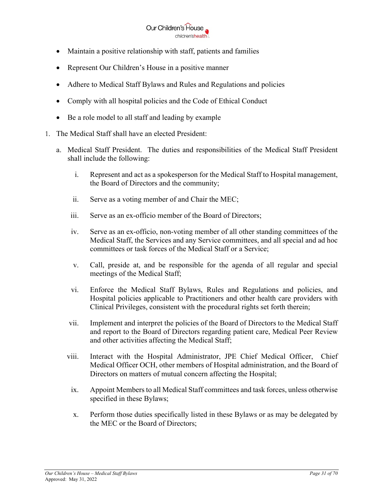

- Maintain a positive relationship with staff, patients and families
- Represent Our Children's House in a positive manner
- Adhere to Medical Staff Bylaws and Rules and Regulations and policies
- Comply with all hospital policies and the Code of Ethical Conduct
- Be a role model to all staff and leading by example
- 1. The Medical Staff shall have an elected President:
	- a. Medical Staff President. The duties and responsibilities of the Medical Staff President shall include the following:
		- i. Represent and act as a spokesperson for the Medical Staff to Hospital management, the Board of Directors and the community;
		- ii. Serve as a voting member of and Chair the MEC;
		- iii. Serve as an ex-officio member of the Board of Directors;
		- iv. Serve as an ex-officio, non-voting member of all other standing committees of the Medical Staff, the Services and any Service committees, and all special and ad hoc committees or task forces of the Medical Staff or a Service;
		- v. Call, preside at, and be responsible for the agenda of all regular and special meetings of the Medical Staff;
		- vi. Enforce the Medical Staff Bylaws, Rules and Regulations and policies, and Hospital policies applicable to Practitioners and other health care providers with Clinical Privileges, consistent with the procedural rights set forth therein;
		- vii. Implement and interpret the policies of the Board of Directors to the Medical Staff and report to the Board of Directors regarding patient care, Medical Peer Review and other activities affecting the Medical Staff;
		- viii. Interact with the Hospital Administrator, JPE Chief Medical Officer, Chief Medical Officer OCH, other members of Hospital administration, and the Board of Directors on matters of mutual concern affecting the Hospital;
			- ix. Appoint Members to all Medical Staff committees and task forces, unless otherwise specified in these Bylaws;
			- x. Perform those duties specifically listed in these Bylaws or as may be delegated by the MEC or the Board of Directors;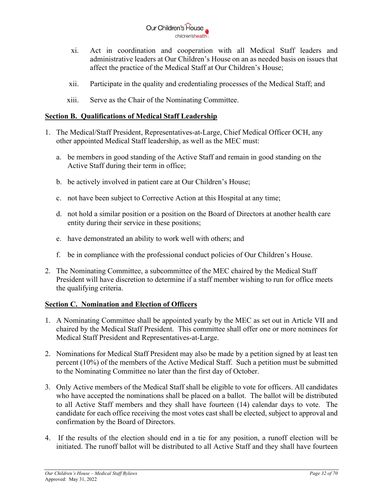

- xi. Act in coordination and cooperation with all Medical Staff leaders and administrative leaders at Our Children's House on an as needed basis on issues that affect the practice of the Medical Staff at Our Children's House;
- xii. Participate in the quality and credentialing processes of the Medical Staff; and
- xiii. Serve as the Chair of the Nominating Committee.

## **Section B. Qualifications of Medical Staff Leadership**

- 1. The Medical/Staff President, Representatives-at-Large, Chief Medical Officer OCH, any other appointed Medical Staff leadership, as well as the MEC must:
	- a. be members in good standing of the Active Staff and remain in good standing on the Active Staff during their term in office;
	- b. be actively involved in patient care at Our Children's House;
	- c. not have been subject to Corrective Action at this Hospital at any time;
	- d. not hold a similar position or a position on the Board of Directors at another health care entity during their service in these positions;
	- e. have demonstrated an ability to work well with others; and
	- f. be in compliance with the professional conduct policies of Our Children's House.
- 2. The Nominating Committee, a subcommittee of the MEC chaired by the Medical Staff President will have discretion to determine if a staff member wishing to run for office meets the qualifying criteria.

## **Section C. Nomination and Election of Officers**

- 1. A Nominating Committee shall be appointed yearly by the MEC as set out in Article VII and chaired by the Medical Staff President. This committee shall offer one or more nominees for Medical Staff President and Representatives-at-Large.
- 2. Nominations for Medical Staff President may also be made by a petition signed by at least ten percent (10%) of the members of the Active Medical Staff. Such a petition must be submitted to the Nominating Committee no later than the first day of October.
- 3. Only Active members of the Medical Staff shall be eligible to vote for officers. All candidates who have accepted the nominations shall be placed on a ballot. The ballot will be distributed to all Active Staff members and they shall have fourteen (14) calendar days to vote. The candidate for each office receiving the most votes cast shall be elected, subject to approval and confirmation by the Board of Directors.
- 4. If the results of the election should end in a tie for any position, a runoff election will be initiated. The runoff ballot will be distributed to all Active Staff and they shall have fourteen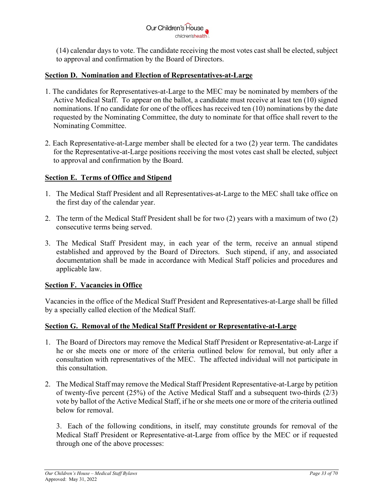

(14) calendar days to vote. The candidate receiving the most votes cast shall be elected, subject to approval and confirmation by the Board of Directors.

### **Section D. Nomination and Election of Representatives-at-Large**

- 1. The candidates for Representatives-at-Large to the MEC may be nominated by members of the Active Medical Staff. To appear on the ballot, a candidate must receive at least ten (10) signed nominations. If no candidate for one of the offices has received ten (10) nominations by the date requested by the Nominating Committee, the duty to nominate for that office shall revert to the Nominating Committee.
- 2. Each Representative-at-Large member shall be elected for a two (2) year term. The candidates for the Representative-at-Large positions receiving the most votes cast shall be elected, subject to approval and confirmation by the Board.

### **Section E. Terms of Office and Stipend**

- 1. The Medical Staff President and all Representatives-at-Large to the MEC shall take office on the first day of the calendar year.
- 2. The term of the Medical Staff President shall be for two (2) years with a maximum of two (2) consecutive terms being served.
- 3. The Medical Staff President may, in each year of the term, receive an annual stipend established and approved by the Board of Directors. Such stipend, if any, and associated documentation shall be made in accordance with Medical Staff policies and procedures and applicable law.

#### **Section F. Vacancies in Office**

Vacancies in the office of the Medical Staff President and Representatives-at-Large shall be filled by a specially called election of the Medical Staff.

#### **Section G. Removal of the Medical Staff President or Representative-at-Large**

- 1. The Board of Directors may remove the Medical Staff President or Representative-at-Large if he or she meets one or more of the criteria outlined below for removal, but only after a consultation with representatives of the MEC. The affected individual will not participate in this consultation.
- 2. The Medical Staff may remove the Medical Staff President Representative-at-Large by petition of twenty-five percent (25%) of the Active Medical Staff and a subsequent two-thirds (2/3) vote by ballot of the Active Medical Staff, if he or she meets one or more of the criteria outlined below for removal.

3. Each of the following conditions, in itself, may constitute grounds for removal of the Medical Staff President or Representative-at-Large from office by the MEC or if requested through one of the above processes: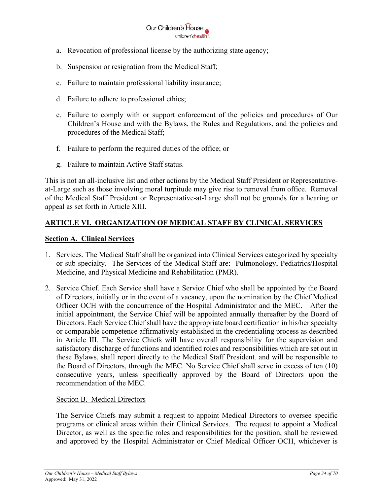

- a. Revocation of professional license by the authorizing state agency;
- b. Suspension or resignation from the Medical Staff;
- c. Failure to maintain professional liability insurance;
- d. Failure to adhere to professional ethics;
- e. Failure to comply with or support enforcement of the policies and procedures of Our Children's House and with the Bylaws, the Rules and Regulations, and the policies and procedures of the Medical Staff;
- f. Failure to perform the required duties of the office; or
- g. Failure to maintain Active Staff status.

This is not an all-inclusive list and other actions by the Medical Staff President or Representativeat-Large such as those involving moral turpitude may give rise to removal from office. Removal of the Medical Staff President or Representative-at-Large shall not be grounds for a hearing or appeal as set forth in Article XIII.

## **ARTICLE VI. ORGANIZATION OF MEDICAL STAFF BY CLINICAL SERVICES**

#### **Section A. Clinical Services**

- 1. Services. The Medical Staff shall be organized into Clinical Services categorized by specialty or sub-specialty. The Services of the Medical Staff are: Pulmonology, Pediatrics/Hospital Medicine, and Physical Medicine and Rehabilitation (PMR).
- 2. Service Chief. Each Service shall have a Service Chief who shall be appointed by the Board of Directors, initially or in the event of a vacancy, upon the nomination by the Chief Medical Officer OCH with the concurrence of the Hospital Administrator and the MEC. After the initial appointment, the Service Chief will be appointed annually thereafter by the Board of Directors. Each Service Chief shall have the appropriate board certification in his/her specialty or comparable competence affirmatively established in the credentialing process as described in Article III. The Service Chiefs will have overall responsibility for the supervision and satisfactory discharge of functions and identified roles and responsibilities which are set out in these Bylaws, shall report directly to the Medical Staff President*,* and will be responsible to the Board of Directors, through the MEC. No Service Chief shall serve in excess of ten (10) consecutive years, unless specifically approved by the Board of Directors upon the recommendation of the MEC.

#### Section B. Medical Directors

The Service Chiefs may submit a request to appoint Medical Directors to oversee specific programs or clinical areas within their Clinical Services. The request to appoint a Medical Director, as well as the specific roles and responsibilities for the position, shall be reviewed and approved by the Hospital Administrator or Chief Medical Officer OCH, whichever is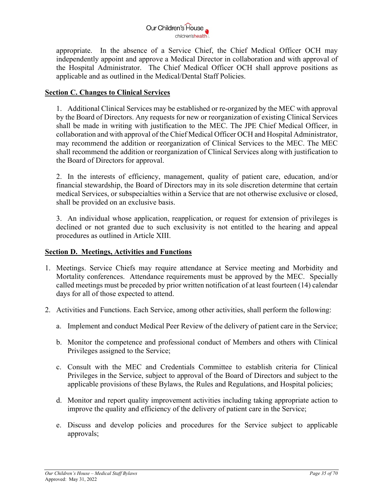

appropriate. In the absence of a Service Chief, the Chief Medical Officer OCH may independently appoint and approve a Medical Director in collaboration and with approval of the Hospital Administrator. The Chief Medical Officer OCH shall approve positions as applicable and as outlined in the Medical/Dental Staff Policies.

## **Section C. Changes to Clinical Services**

1. Additional Clinical Services may be established or re-organized by the MEC with approval by the Board of Directors. Any requests for new or reorganization of existing Clinical Services shall be made in writing with justification to the MEC. The JPE Chief Medical Officer, in collaboration and with approval of the Chief Medical Officer OCH and Hospital Administrator, may recommend the addition or reorganization of Clinical Services to the MEC. The MEC shall recommend the addition or reorganization of Clinical Services along with justification to the Board of Directors for approval.

2. In the interests of efficiency, management, quality of patient care, education, and/or financial stewardship, the Board of Directors may in its sole discretion determine that certain medical Services, or subspecialties within a Service that are not otherwise exclusive or closed, shall be provided on an exclusive basis.

3. An individual whose application, reapplication, or request for extension of privileges is declined or not granted due to such exclusivity is not entitled to the hearing and appeal procedures as outlined in Article XIII.

#### **Section D. Meetings, Activities and Functions**

- 1. Meetings. Service Chiefs may require attendance at Service meeting and Morbidity and Mortality conferences. Attendance requirements must be approved by the MEC. Specially called meetings must be preceded by prior written notification of at least fourteen (14) calendar days for all of those expected to attend.
- 2. Activities and Functions. Each Service, among other activities, shall perform the following:
	- a. Implement and conduct Medical Peer Review of the delivery of patient care in the Service;
	- b. Monitor the competence and professional conduct of Members and others with Clinical Privileges assigned to the Service;
	- c. Consult with the MEC and Credentials Committee to establish criteria for Clinical Privileges in the Service, subject to approval of the Board of Directors and subject to the applicable provisions of these Bylaws, the Rules and Regulations, and Hospital policies;
	- d. Monitor and report quality improvement activities including taking appropriate action to improve the quality and efficiency of the delivery of patient care in the Service;
	- e. Discuss and develop policies and procedures for the Service subject to applicable approvals;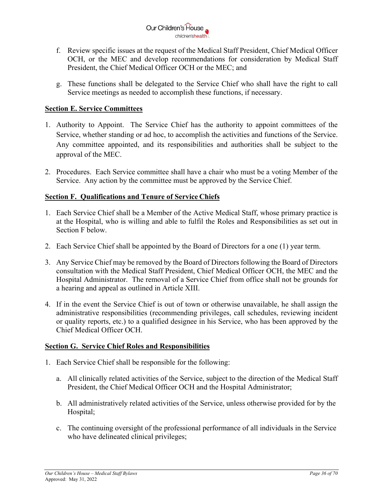

- f. Review specific issues at the request of the Medical Staff President, Chief Medical Officer OCH, or the MEC and develop recommendations for consideration by Medical Staff President, the Chief Medical Officer OCH or the MEC; and
- g. These functions shall be delegated to the Service Chief who shall have the right to call Service meetings as needed to accomplish these functions, if necessary.

## **Section E. Service Committees**

- 1. Authority to Appoint. The Service Chief has the authority to appoint committees of the Service, whether standing or ad hoc, to accomplish the activities and functions of the Service. Any committee appointed, and its responsibilities and authorities shall be subject to the approval of the MEC.
- 2. Procedures. Each Service committee shall have a chair who must be a voting Member of the Service. Any action by the committee must be approved by the Service Chief.

### **Section F. Qualifications and Tenure of Service Chiefs**

- 1. Each Service Chief shall be a Member of the Active Medical Staff, whose primary practice is at the Hospital, who is willing and able to fulfil the Roles and Responsibilities as set out in Section F below.
- 2. Each Service Chief shall be appointed by the Board of Directors for a one (1) year term.
- 3. Any Service Chief may be removed by the Board of Directors following the Board of Directors consultation with the Medical Staff President, Chief Medical Officer OCH, the MEC and the Hospital Administrator. The removal of a Service Chief from office shall not be grounds for a hearing and appeal as outlined in Article XIII.
- 4. If in the event the Service Chief is out of town or otherwise unavailable, he shall assign the administrative responsibilities (recommending privileges, call schedules, reviewing incident or quality reports, etc.) to a qualified designee in his Service, who has been approved by the Chief Medical Officer OCH.

#### **Section G. Service Chief Roles and Responsibilities**

- 1. Each Service Chief shall be responsible for the following:
	- a. All clinically related activities of the Service, subject to the direction of the Medical Staff President, the Chief Medical Officer OCH and the Hospital Administrator;
	- b. All administratively related activities of the Service, unless otherwise provided for by the Hospital;
	- c. The continuing oversight of the professional performance of all individuals in the Service who have delineated clinical privileges;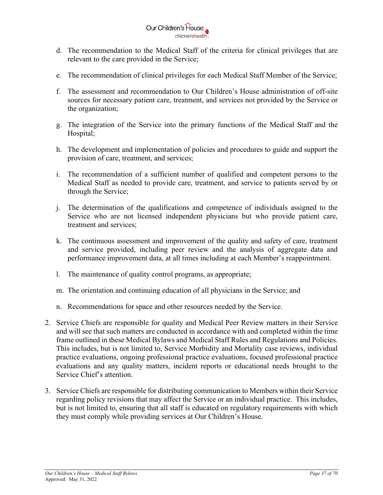

- d. The recommendation to the Medical Staff of the criteria for clinical privileges that are relevant to the care provided in the Service;
- e. The recommendation of clinical privileges for each Medical Staff Member of the Service;
- f. The assessment and recommendation to Our Children's House administration of off-site sources for necessary patient care, treatment, and services not provided by the Service or the organization;
- g. The integration of the Service into the primary functions of the Medical Staff and the Hospital;
- h. The development and implementation of policies and procedures to guide and support the provision of care, treatment, and services;
- i. The recommendation of a sufficient number of qualified and competent persons to the Medical Staff as needed to provide care, treatment, and service to patients served by or through the Service;
- j. The determination of the qualifications and competence of individuals assigned to the Service who are not licensed independent physicians but who provide patient care, treatment and services;
- k. The continuous assessment and improvement of the quality and safety of care, treatment and service provided, including peer review and the analysis of aggregate data and performance improvement data, at all times including at each Member's reappointment.
- l. The maintenance of quality control programs, as appropriate;
- m. The orientation and continuing education of all physicians in the Service; and
- n. Recommendations for space and other resources needed by the Service.
- 2. Service Chiefs are responsible for quality and Medical Peer Review matters in their Service and will see that such matters are conducted in accordance with and completed within the time frame outlined in these Medical Bylaws and Medical Staff Rules and Regulations and Policies. This includes, but is not limited to, Service Morbidity and Mortality case reviews, individual practice evaluations, ongoing professional practice evaluations, focused professional practice evaluations and any quality matters, incident reports or educational needs brought to the Service Chief's attention.
- 3. Service Chiefs are responsible for distributing communication to Members within their Service regarding policy revisions that may affect the Service or an individual practice. This includes, but is not limited to, ensuring that all staff is educated on regulatory requirements with which they must comply while providing services at Our Children's House.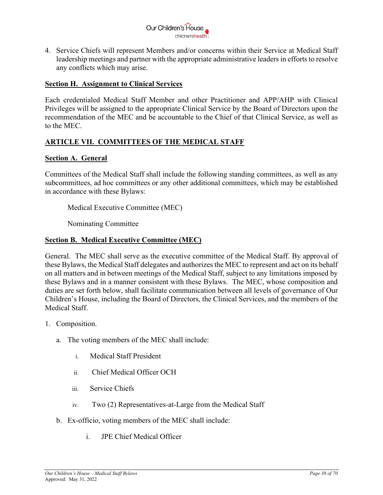

4. Service Chiefs will represent Members and/or concerns within their Service at Medical Staff leadership meetings and partner with the appropriate administrative leaders in efforts to resolve any conflicts which may arise.

### **Section H. Assignment to Clinical Services**

Each credentialed Medical Staff Member and other Practitioner and APP/AHP with Clinical Privileges will be assigned to the appropriate Clinical Service by the Board of Directors upon the recommendation of the MEC and be accountable to the Chief of that Clinical Service, as well as to the MEC.

## **ARTICLE VII. COMMITTEES OF THE MEDICAL STAFF**

#### **Section A. General**

Committees of the Medical Staff shall include the following standing committees, as well as any subcommittees, ad hoc committees or any other additional committees, which may be established in accordance with these Bylaws:

Medical Executive Committee (MEC)

Nominating Committee

#### **Section B. Medical Executive Committee (MEC)**

General. The MEC shall serve as the executive committee of the Medical Staff. By approval of these Bylaws, the Medical Staff delegates and authorizes the MEC to represent and act on its behalf on all matters and in between meetings of the Medical Staff, subject to any limitations imposed by these Bylaws and in a manner consistent with these Bylaws. The MEC, whose composition and duties are set forth below, shall facilitate communication between all levels of governance of Our Children's House, including the Board of Directors, the Clinical Services, and the members of the Medical Staff.

- 1. Composition.
	- a. The voting members of the MEC shall include:
		- i. Medical Staff President
		- ii. Chief Medical Officer OCH
		- iii. Service Chiefs
		- iv. Two (2) Representatives-at-Large from the Medical Staff
	- b. Ex-officio, voting members of the MEC shall include:
		- i. JPE Chief Medical Officer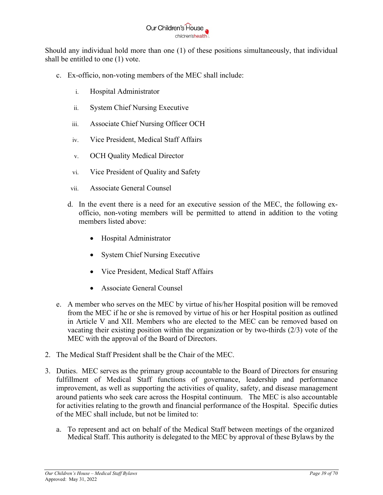

Should any individual hold more than one (1) of these positions simultaneously, that individual shall be entitled to one (1) vote.

- c. Ex-officio, non-voting members of the MEC shall include:
	- i. Hospital Administrator
	- ii. System Chief Nursing Executive
	- iii. Associate Chief Nursing Officer OCH
	- iv. Vice President, Medical Staff Affairs
	- v. OCH Quality Medical Director
	- vi. Vice President of Quality and Safety
	- vii. Associate General Counsel
	- d. In the event there is a need for an executive session of the MEC, the following exofficio, non-voting members will be permitted to attend in addition to the voting members listed above:
		- Hospital Administrator
		- System Chief Nursing Executive
		- Vice President, Medical Staff Affairs
		- Associate General Counsel
- e. A member who serves on the MEC by virtue of his/her Hospital position will be removed from the MEC if he or she is removed by virtue of his or her Hospital position as outlined in Article V and XII. Members who are elected to the MEC can be removed based on vacating their existing position within the organization or by two-thirds (2/3) vote of the MEC with the approval of the Board of Directors.
- 2. The Medical Staff President shall be the Chair of the MEC.
- 3. Duties. MEC serves as the primary group accountable to the Board of Directors for ensuring fulfillment of Medical Staff functions of governance, leadership and performance improvement, as well as supporting the activities of quality, safety, and disease management around patients who seek care across the Hospital continuum. The MEC is also accountable for activities relating to the growth and financial performance of the Hospital. Specific duties of the MEC shall include, but not be limited to:
	- a. To represent and act on behalf of the Medical Staff between meetings of the organized Medical Staff. This authority is delegated to the MEC by approval of these Bylaws by the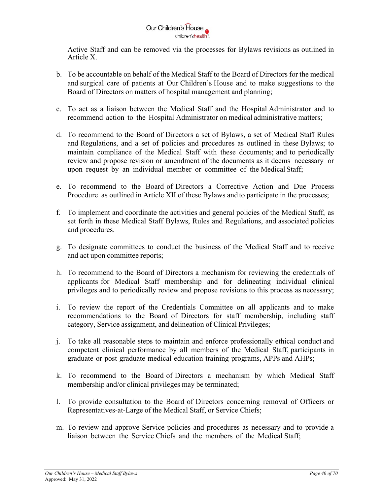

Active Staff and can be removed via the processes for Bylaws revisions as outlined in Article X.

- b. To be accountable on behalf of the Medical Staff to the Board of Directors for the medical and surgical care of patients at Our Children's House and to make suggestions to the Board of Directors on matters of hospital management and planning;
- c. To act as a liaison between the Medical Staff and the Hospital Administrator and to recommend action to the Hospital Administrator on medical administrative matters;
- d. To recommend to the Board of Directors a set of Bylaws, a set of Medical Staff Rules and Regulations, and a set of policies and procedures as outlined in these Bylaws; to maintain compliance of the Medical Staff with these documents; and to periodically review and propose revision or amendment of the documents as it deems necessary or upon request by an individual member or committee of the Medical Staff;
- e. To recommend to the Board of Directors a Corrective Action and Due Process Procedure as outlined in Article XII of these Bylaws and to participate in the processes;
- f. To implement and coordinate the activities and general policies of the Medical Staff, as set forth in these Medical Staff Bylaws, Rules and Regulations, and associated policies and procedures.
- g. To designate committees to conduct the business of the Medical Staff and to receive and act upon committee reports;
- h. To recommend to the Board of Directors a mechanism for reviewing the credentials of applicants for Medical Staff membership and for delineating individual clinical privileges and to periodically review and propose revisions to this process as necessary;
- i. To review the report of the Credentials Committee on all applicants and to make recommendations to the Board of Directors for staff membership, including staff category, Service assignment, and delineation of Clinical Privileges;
- j. To take all reasonable steps to maintain and enforce professionally ethical conduct and competent clinical performance by all members of the Medical Staff, participants in graduate or post graduate medical education training programs, APPs and AHPs;
- k. To recommend to the Board of Directors a mechanism by which Medical Staff membership and/or clinical privileges may be terminated;
- l. To provide consultation to the Board of Directors concerning removal of Officers or Representatives-at-Large of the Medical Staff, or Service Chiefs;
- m. To review and approve Service policies and procedures as necessary and to provide a liaison between the Service Chiefs and the members of the Medical Staff;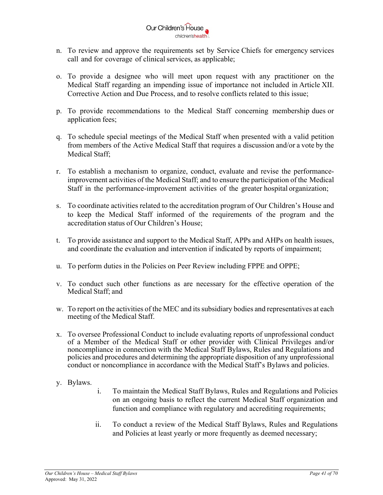

- n. To review and approve the requirements set by Service Chiefs for emergency services call and for coverage of clinical services, as applicable;
- o. To provide a designee who will meet upon request with any practitioner on the Medical Staff regarding an impending issue of importance not included in Article XII. Corrective Action and Due Process, and to resolve conflicts related to this issue;
- p. To provide recommendations to the Medical Staff concerning membership dues or application fees;
- q. To schedule special meetings of the Medical Staff when presented with a valid petition from members of the Active Medical Staff that requires a discussion and/or a vote by the Medical Staff;
- r. To establish a mechanism to organize, conduct, evaluate and revise the performanceimprovement activities of the Medical Staff; and to ensure the participation of the Medical Staff in the performance-improvement activities of the greater hospital organization;
- s. To coordinate activities related to the accreditation program of Our Children's House and to keep the Medical Staff informed of the requirements of the program and the accreditation status of Our Children's House;
- t. To provide assistance and support to the Medical Staff, APPs and AHPs on health issues, and coordinate the evaluation and intervention if indicated by reports of impairment;
- u. To perform duties in the Policies on Peer Review including FPPE and OPPE;
- v. To conduct such other functions as are necessary for the effective operation of the Medical Staff; and
- w. To report on the activities of the MEC and its subsidiary bodies and representatives at each meeting of the Medical Staff.
- x. To oversee Professional Conduct to include evaluating reports of unprofessional conduct of a Member of the Medical Staff or other provider with Clinical Privileges and/or noncompliance in connection with the Medical Staff Bylaws, Rules and Regulations and policies and procedures and determining the appropriate disposition of any unprofessional conduct or noncompliance in accordance with the Medical Staff's Bylaws and policies.
- y. Bylaws.
- i. To maintain the Medical Staff Bylaws, Rules and Regulations and Policies on an ongoing basis to reflect the current Medical Staff organization and function and compliance with regulatory and accrediting requirements;
- ii. To conduct a review of the Medical Staff Bylaws, Rules and Regulations and Policies at least yearly or more frequently as deemed necessary;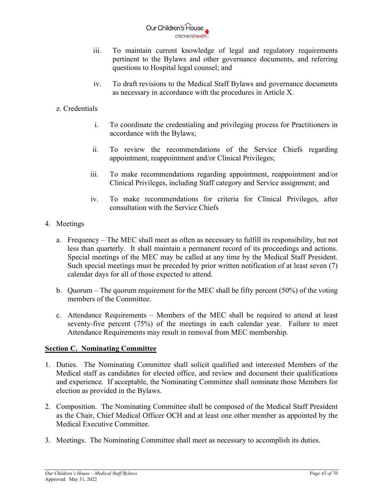

- iii. To maintain current knowledge of legal and regulatory requirements pertinent to the Bylaws and other governance documents, and referring questions to Hospital legal counsel; and
- iv. To draft revisions to the Medical Staff Bylaws and governance documents as necessary in accordance with the procedures in Article X.

### z. Credentials

- i. To coordinate the credentialing and privileging process for Practitioners in accordance with the Bylaws;
- ii. To review the recommendations of the Service Chiefs regarding appointment, reappointment and/or Clinical Privileges;
- iii. To make recommendations regarding appointment, reappointment and/or Clinical Privileges, including Staff category and Service assignment; and
- iv. To make recommendations for criteria for Clinical Privileges, after consultation with the Service Chiefs
- 4. Meetings
	- a. Frequency The MEC shall meet as often as necessary to fulfill its responsibility, but not less than quarterly. It shall maintain a permanent record of its proceedings and actions. Special meetings of the MEC may be called at any time by the Medical Staff President. Such special meetings must be preceded by prior written notification of at least seven (7) calendar days for all of those expected to attend.
	- b. Quorum The quorum requirement for the MEC shall be fifty percent (50%) of the voting members of the Committee.
	- c. Attendance Requirements Members of the MEC shall be required to attend at least seventy-five percent (75%) of the meetings in each calendar year. Failure to meet Attendance Requirements may result in removal from MEC membership.

#### **Section C. Nominating Committee**

- 1. Duties. The Nominating Committee shall solicit qualified and interested Members of the Medical staff as candidates for elected office, and review and document their qualifications and experience. If acceptable, the Nominating Committee shall nominate those Members for election as provided in the Bylaws.
- 2. Composition. The Nominating Committee shall be composed of the Medical Staff President as the Chair, Chief Medical Officer OCH and at least one other member as appointed by the Medical Executive Committee.
- 3. Meetings. The Nominating Committee shall meet as necessary to accomplish its duties.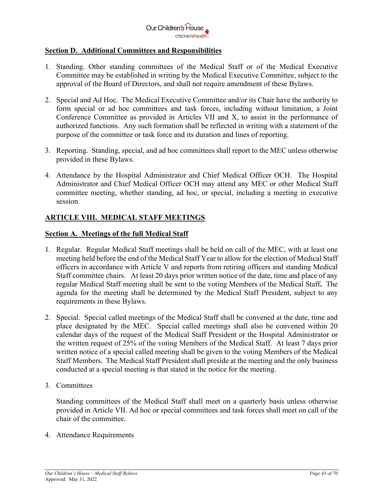

### **Section D. Additional Committees and Responsibilities**

- 1. Standing. Other standing committees of the Medical Staff or of the Medical Executive Committee may be established in writing by the Medical Executive Committee, subject to the approval of the Board of Directors, and shall not require amendment of these Bylaws.
- 2. Special and Ad Hoc. The Medical Executive Committee and/or its Chair have the authority to form special or ad hoc committees and task forces, including without limitation, a Joint Conference Committee as provided in Articles VII and X, to assist in the performance of authorized functions. Any such formation shall be reflected in writing with a statement of the purpose of the committee or task force and its duration and lines of reporting.
- 3. Reporting. Standing, special, and ad hoc committees shall report to the MEC unless otherwise provided in these Bylaws.
- 4. Attendance by the Hospital Administrator and Chief Medical Officer OCH. The Hospital Administrator and Chief Medical Officer OCH may attend any MEC or other Medical Staff committee meeting, whether standing, ad hoc, or special, including a meeting in executive session.

### **ARTICLE VIII. MEDICAL STAFF MEETINGS**

#### **Section A. Meetings of the full Medical Staff**

- 1. Regular. Regular Medical Staff meetings shall be held on call of the MEC, with at least one meeting held before the end of the Medical Staff Year to allow for the election of Medical Staff officers in accordance with Article V and reports from retiring officers and standing Medical Staff committee chairs. At least 20 days prior written notice of the date, time and place of any regular Medical Staff meeting shall be sent to the voting Members of the Medical Staff**.** The agenda for the meeting shall be determined by the Medical Staff President, subject to any requirements in these Bylaws.
- 2. Special. Special called meetings of the Medical Staff shall be convened at the date, time and place designated by the MEC. Special called meetings shall also be convened within 20 calendar days of the request of the Medical Staff President or the Hospital Administrator or the written request of 25% of the voting Members of the Medical Staff. At least 7 days prior written notice of a special called meeting shall be given to the voting Members of the Medical Staff Members. The Medical Staff President shall preside at the meeting and the only business conducted at a special meeting is that stated in the notice for the meeting.
- 3. Committees

Standing committees of the Medical Staff shall meet on a quarterly basis unless otherwise provided in Article VII. Ad hoc or special committees and task forces shall meet on call of the chair of the committee.

4. Attendance Requirements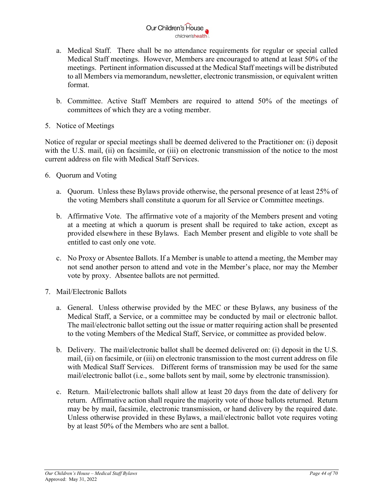

- a. Medical Staff. There shall be no attendance requirements for regular or special called Medical Staff meetings. However, Members are encouraged to attend at least 50% of the meetings. Pertinent information discussed at the Medical Staff meetings will be distributed to all Members via memorandum, newsletter, electronic transmission, or equivalent written format.
- b. Committee. Active Staff Members are required to attend 50% of the meetings of committees of which they are a voting member.
- 5. Notice of Meetings

Notice of regular or special meetings shall be deemed delivered to the Practitioner on: (i) deposit with the U.S. mail, (ii) on facsimile, or (iii) on electronic transmission of the notice to the most current address on file with Medical Staff Services.

- 6. Quorum and Voting
	- a. Quorum. Unless these Bylaws provide otherwise, the personal presence of at least 25% of the voting Members shall constitute a quorum for all Service or Committee meetings.
	- b. Affirmative Vote. The affirmative vote of a majority of the Members present and voting at a meeting at which a quorum is present shall be required to take action, except as provided elsewhere in these Bylaws. Each Member present and eligible to vote shall be entitled to cast only one vote.
	- c. No Proxy or Absentee Ballots. If a Member is unable to attend a meeting, the Member may not send another person to attend and vote in the Member's place, nor may the Member vote by proxy. Absentee ballots are not permitted.
- 7. Mail/Electronic Ballots
	- a. General. Unless otherwise provided by the MEC or these Bylaws, any business of the Medical Staff, a Service, or a committee may be conducted by mail or electronic ballot. The mail/electronic ballot setting out the issue or matter requiring action shall be presented to the voting Members of the Medical Staff, Service, or committee as provided below.
	- b. Delivery. The mail/electronic ballot shall be deemed delivered on: (i) deposit in the U.S. mail, (ii) on facsimile, or (iii) on electronic transmission to the most current address on file with Medical Staff Services. Different forms of transmission may be used for the same mail/electronic ballot (i.e., some ballots sent by mail, some by electronic transmission).
	- c. Return. Mail/electronic ballots shall allow at least 20 days from the date of delivery for return. Affirmative action shall require the majority vote of those ballots returned. Return may be by mail, facsimile, electronic transmission, or hand delivery by the required date. Unless otherwise provided in these Bylaws, a mail/electronic ballot vote requires voting by at least 50% of the Members who are sent a ballot.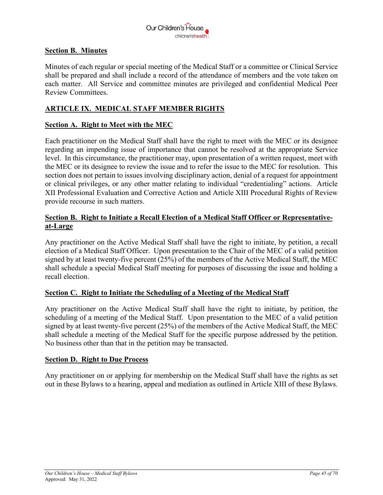

## **Section B. Minutes**

Minutes of each regular or special meeting of the Medical Staff or a committee or Clinical Service shall be prepared and shall include a record of the attendance of members and the vote taken on each matter. All Service and committee minutes are privileged and confidential Medical Peer Review Committees.

### **ARTICLE IX. MEDICAL STAFF MEMBER RIGHTS**

#### **Section A. Right to Meet with the MEC**

Each practitioner on the Medical Staff shall have the right to meet with the MEC or its designee regarding an impending issue of importance that cannot be resolved at the appropriate Service level. In this circumstance, the practitioner may, upon presentation of a written request, meet with the MEC or its designee to review the issue and to refer the issue to the MEC for resolution. This section does not pertain to issues involving disciplinary action, denial of a request for appointment or clinical privileges, or any other matter relating to individual "credentialing" actions. Article XII Professional Evaluation and Corrective Action and Article XIII Procedural Rights of Review provide recourse in such matters.

### **Section B. Right to Initiate a Recall Election of a Medical Staff Officer or Representativeat-Large**

Any practitioner on the Active Medical Staff shall have the right to initiate, by petition, a recall election of a Medical Staff Officer. Upon presentation to the Chair of the MEC of a valid petition signed by at least twenty-five percent (25%) of the members of the Active Medical Staff, the MEC shall schedule a special Medical Staff meeting for purposes of discussing the issue and holding a recall election.

#### **Section C. Right to Initiate the Scheduling of a Meeting of the Medical Staff**

Any practitioner on the Active Medical Staff shall have the right to initiate, by petition, the scheduling of a meeting of the Medical Staff. Upon presentation to the MEC of a valid petition signed by at least twenty-five percent (25%) of the members of the Active Medical Staff, the MEC shall schedule a meeting of the Medical Staff for the specific purpose addressed by the petition. No business other than that in the petition may be transacted.

#### **Section D. Right to Due Process**

Any practitioner on or applying for membership on the Medical Staff shall have the rights as set out in these Bylaws to a hearing, appeal and mediation as outlined in Article XIII of these Bylaws.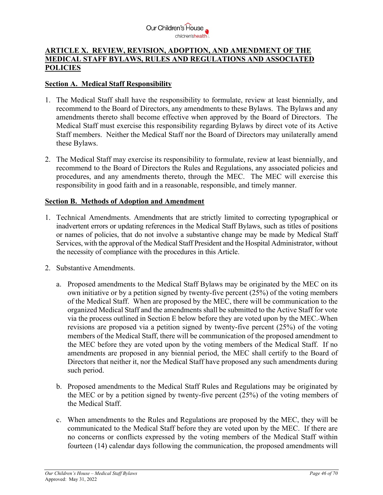

## **ARTICLE X. REVIEW, REVISION, ADOPTION, AND AMENDMENT OF THE MEDICAL STAFF BYLAWS, RULES AND REGULATIONS AND ASSOCIATED POLICIES**

#### **Section A. Medical Staff Responsibility**

- 1. The Medical Staff shall have the responsibility to formulate, review at least biennially, and recommend to the Board of Directors, any amendments to these Bylaws. The Bylaws and any amendments thereto shall become effective when approved by the Board of Directors. The Medical Staff must exercise this responsibility regarding Bylaws by direct vote of its Active Staff members. Neither the Medical Staff nor the Board of Directors may unilaterally amend these Bylaws.
- 2. The Medical Staff may exercise its responsibility to formulate, review at least biennially, and recommend to the Board of Directors the Rules and Regulations, any associated policies and procedures, and any amendments thereto, through the MEC. The MEC will exercise this responsibility in good faith and in a reasonable, responsible, and timely manner.

#### **Section B. Methods of Adoption and Amendment**

- 1. Technical Amendments. Amendments that are strictly limited to correcting typographical or inadvertent errors or updating references in the Medical Staff Bylaws, such as titles of positions or names of policies, that do not involve a substantive change may be made by Medical Staff Services, with the approval of the Medical Staff President and the Hospital Administrator, without the necessity of compliance with the procedures in this Article.
- 2. Substantive Amendments.
	- a. Proposed amendments to the Medical Staff Bylaws may be originated by the MEC on its own initiative or by a petition signed by twenty-five percent (25%) of the voting members of the Medical Staff. When are proposed by the MEC, there will be communication to the organized Medical Staff and the amendments shall be submitted to the Active Staff for vote via the process outlined in Section E below before they are voted upon by the MEC. When revisions are proposed via a petition signed by twenty-five percent (25%) of the voting members of the Medical Staff, there will be communication of the proposed amendment to the MEC before they are voted upon by the voting members of the Medical Staff. If no amendments are proposed in any biennial period, the MEC shall certify to the Board of Directors that neither it, nor the Medical Staff have proposed any such amendments during such period.
	- b. Proposed amendments to the Medical Staff Rules and Regulations may be originated by the MEC or by a petition signed by twenty-five percent (25%) of the voting members of the Medical Staff.
	- c. When amendments to the Rules and Regulations are proposed by the MEC, they will be communicated to the Medical Staff before they are voted upon by the MEC. If there are no concerns or conflicts expressed by the voting members of the Medical Staff within fourteen (14) calendar days following the communication, the proposed amendments will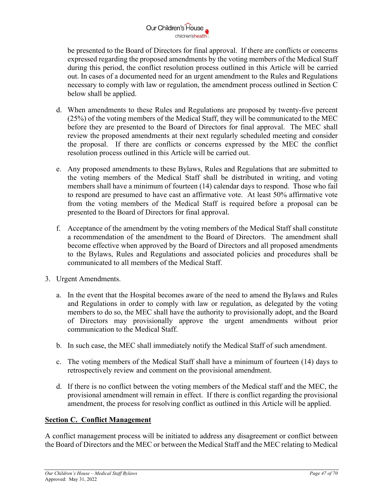

be presented to the Board of Directors for final approval. If there are conflicts or concerns expressed regarding the proposed amendments by the voting members of the Medical Staff during this period, the conflict resolution process outlined in this Article will be carried out. In cases of a documented need for an urgent amendment to the Rules and Regulations necessary to comply with law or regulation, the amendment process outlined in Section C below shall be applied.

- d. When amendments to these Rules and Regulations are proposed by twenty-five percent (25%) of the voting members of the Medical Staff, they will be communicated to the MEC before they are presented to the Board of Directors for final approval. The MEC shall review the proposed amendments at their next regularly scheduled meeting and consider the proposal. If there are conflicts or concerns expressed by the MEC the conflict resolution process outlined in this Article will be carried out.
- e. Any proposed amendments to these Bylaws, Rules and Regulations that are submitted to the voting members of the Medical Staff shall be distributed in writing, and voting members shall have a minimum of fourteen (14) calendar days to respond. Those who fail to respond are presumed to have cast an affirmative vote. At least 50% affirmative vote from the voting members of the Medical Staff is required before a proposal can be presented to the Board of Directors for final approval.
- f. Acceptance of the amendment by the voting members of the Medical Staff shall constitute a recommendation of the amendment to the Board of Directors. The amendment shall become effective when approved by the Board of Directors and all proposed amendments to the Bylaws, Rules and Regulations and associated policies and procedures shall be communicated to all members of the Medical Staff.
- 3. Urgent Amendments.
	- a. In the event that the Hospital becomes aware of the need to amend the Bylaws and Rules and Regulations in order to comply with law or regulation, as delegated by the voting members to do so, the MEC shall have the authority to provisionally adopt, and the Board of Directors may provisionally approve the urgent amendments without prior communication to the Medical Staff.
	- b. In such case, the MEC shall immediately notify the Medical Staff of such amendment.
	- c. The voting members of the Medical Staff shall have a minimum of fourteen (14) days to retrospectively review and comment on the provisional amendment.
	- d. If there is no conflict between the voting members of the Medical staff and the MEC, the provisional amendment will remain in effect. If there is conflict regarding the provisional amendment, the process for resolving conflict as outlined in this Article will be applied.

## **Section C. Conflict Management**

A conflict management process will be initiated to address any disagreement or conflict between the Board of Directors and the MEC or between the Medical Staff and the MEC relating to Medical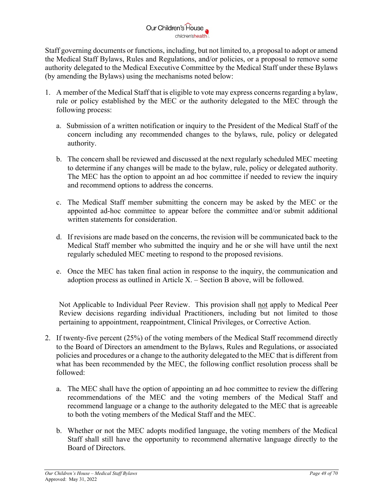#### Our Children's House children'shealth?

Staff governing documents or functions, including, but not limited to, a proposal to adopt or amend the Medical Staff Bylaws, Rules and Regulations, and/or policies, or a proposal to remove some authority delegated to the Medical Executive Committee by the Medical Staff under these Bylaws (by amending the Bylaws) using the mechanisms noted below:

- 1. A member of the Medical Staff that is eligible to vote may express concerns regarding a bylaw, rule or policy established by the MEC or the authority delegated to the MEC through the following process:
	- a. Submission of a written notification or inquiry to the President of the Medical Staff of the concern including any recommended changes to the bylaws, rule, policy or delegated authority.
	- b. The concern shall be reviewed and discussed at the next regularly scheduled MEC meeting to determine if any changes will be made to the bylaw, rule, policy or delegated authority. The MEC has the option to appoint an ad hoc committee if needed to review the inquiry and recommend options to address the concerns.
	- c. The Medical Staff member submitting the concern may be asked by the MEC or the appointed ad-hoc committee to appear before the committee and/or submit additional written statements for consideration.
	- d. If revisions are made based on the concerns, the revision will be communicated back to the Medical Staff member who submitted the inquiry and he or she will have until the next regularly scheduled MEC meeting to respond to the proposed revisions.
	- e. Once the MEC has taken final action in response to the inquiry, the communication and adoption process as outlined in Article X. – Section B above, will be followed.

Not Applicable to Individual Peer Review. This provision shall not apply to Medical Peer Review decisions regarding individual Practitioners, including but not limited to those pertaining to appointment, reappointment, Clinical Privileges, or Corrective Action.

- 2. If twenty-five percent (25%) of the voting members of the Medical Staff recommend directly to the Board of Directors an amendment to the Bylaws, Rules and Regulations, or associated policies and procedures or a change to the authority delegated to the MEC that is different from what has been recommended by the MEC, the following conflict resolution process shall be followed:
	- a. The MEC shall have the option of appointing an ad hoc committee to review the differing recommendations of the MEC and the voting members of the Medical Staff and recommend language or a change to the authority delegated to the MEC that is agreeable to both the voting members of the Medical Staff and the MEC.
	- b. Whether or not the MEC adopts modified language, the voting members of the Medical Staff shall still have the opportunity to recommend alternative language directly to the Board of Directors.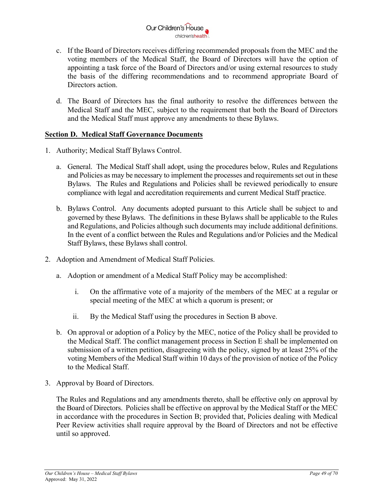

- c. If the Board of Directors receives differing recommended proposals from the MEC and the voting members of the Medical Staff, the Board of Directors will have the option of appointing a task force of the Board of Directors and/or using external resources to study the basis of the differing recommendations and to recommend appropriate Board of Directors action.
- d. The Board of Directors has the final authority to resolve the differences between the Medical Staff and the MEC, subject to the requirement that both the Board of Directors and the Medical Staff must approve any amendments to these Bylaws.

### **Section D. Medical Staff Governance Documents**

- 1. Authority; Medical Staff Bylaws Control.
	- a. General. The Medical Staff shall adopt, using the procedures below, Rules and Regulations and Policies as may be necessary to implement the processes and requirements set out in these Bylaws. The Rules and Regulations and Policies shall be reviewed periodically to ensure compliance with legal and accreditation requirements and current Medical Staff practice.
	- b. Bylaws Control. Any documents adopted pursuant to this Article shall be subject to and governed by these Bylaws. The definitions in these Bylaws shall be applicable to the Rules and Regulations, and Policies although such documents may include additional definitions. In the event of a conflict between the Rules and Regulations and/or Policies and the Medical Staff Bylaws, these Bylaws shall control.
- 2. Adoption and Amendment of Medical Staff Policies.
	- a. Adoption or amendment of a Medical Staff Policy may be accomplished:
		- i. On the affirmative vote of a majority of the members of the MEC at a regular or special meeting of the MEC at which a quorum is present; or
		- ii. By the Medical Staff using the procedures in Section B above.
	- b. On approval or adoption of a Policy by the MEC, notice of the Policy shall be provided to the Medical Staff. The conflict management process in Section E shall be implemented on submission of a written petition, disagreeing with the policy, signed by at least 25% of the voting Members of the Medical Staff within 10 days of the provision of notice of the Policy to the Medical Staff.
- 3. Approval by Board of Directors.

The Rules and Regulations and any amendments thereto, shall be effective only on approval by the Board of Directors. Policies shall be effective on approval by the Medical Staff or the MEC in accordance with the procedures in Section B; provided that, Policies dealing with Medical Peer Review activities shall require approval by the Board of Directors and not be effective until so approved.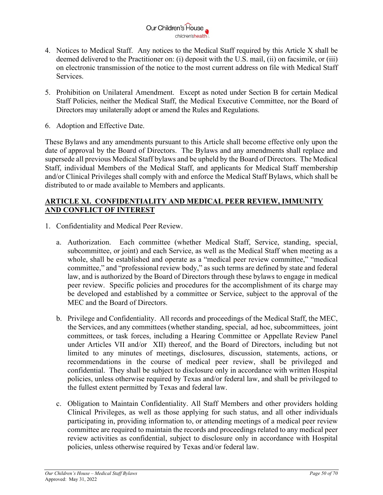

- 4. Notices to Medical Staff. Any notices to the Medical Staff required by this Article X shall be deemed delivered to the Practitioner on: (i) deposit with the U.S. mail, (ii) on facsimile, or (iii) on electronic transmission of the notice to the most current address on file with Medical Staff Services.
- 5. Prohibition on Unilateral Amendment. Except as noted under Section B for certain Medical Staff Policies, neither the Medical Staff, the Medical Executive Committee, nor the Board of Directors may unilaterally adopt or amend the Rules and Regulations.
- 6. Adoption and Effective Date.

These Bylaws and any amendments pursuant to this Article shall become effective only upon the date of approval by the Board of Directors. The Bylaws and any amendments shall replace and supersede all previous Medical Staff bylaws and be upheld by the Board of Directors. The Medical Staff, individual Members of the Medical Staff, and applicants for Medical Staff membership and/or Clinical Privileges shall comply with and enforce the Medical Staff Bylaws, which shall be distributed to or made available to Members and applicants.

## **ARTICLE XI. CONFIDENTIALITY AND MEDICAL PEER REVIEW, IMMUNITY AND CONFLICT OF INTEREST**

- 1. Confidentiality and Medical Peer Review.
	- a. Authorization. Each committee (whether Medical Staff, Service, standing, special, subcommittee, or joint) and each Service, as well as the Medical Staff when meeting as a whole, shall be established and operate as a "medical peer review committee," "medical committee," and "professional review body," as such terms are defined by state and federal law, and is authorized by the Board of Directors through these bylaws to engage in medical peer review. Specific policies and procedures for the accomplishment of its charge may be developed and established by a committee or Service, subject to the approval of the MEC and the Board of Directors.
	- b. Privilege and Confidentiality. All records and proceedings of the Medical Staff, the MEC, the Services, and any committees (whether standing, special, ad hoc, subcommittees, joint committees, or task forces, including a Hearing Committee or Appellate Review Panel under Articles VII and/or XII) thereof, and the Board of Directors, including but not limited to any minutes of meetings, disclosures, discussion, statements, actions, or recommendations in the course of medical peer review, shall be privileged and confidential. They shall be subject to disclosure only in accordance with written Hospital policies, unless otherwise required by Texas and/or federal law, and shall be privileged to the fullest extent permitted by Texas and federal law.
	- c. Obligation to Maintain Confidentiality. All Staff Members and other providers holding Clinical Privileges, as well as those applying for such status, and all other individuals participating in, providing information to, or attending meetings of a medical peer review committee are required to maintain the records and proceedings related to any medical peer review activities as confidential, subject to disclosure only in accordance with Hospital policies, unless otherwise required by Texas and/or federal law.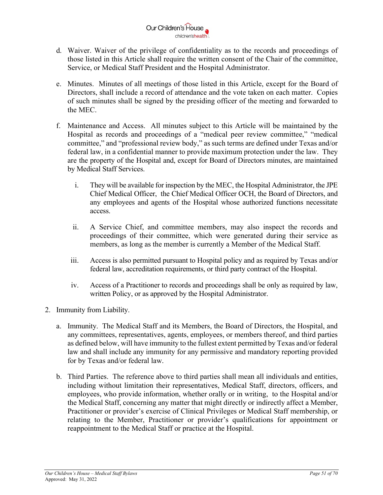

- d. Waiver. Waiver of the privilege of confidentiality as to the records and proceedings of those listed in this Article shall require the written consent of the Chair of the committee, Service, or Medical Staff President and the Hospital Administrator.
- e. Minutes. Minutes of all meetings of those listed in this Article, except for the Board of Directors, shall include a record of attendance and the vote taken on each matter. Copies of such minutes shall be signed by the presiding officer of the meeting and forwarded to the MEC.
- f. Maintenance and Access. All minutes subject to this Article will be maintained by the Hospital as records and proceedings of a "medical peer review committee," "medical committee," and "professional review body," as such terms are defined under Texas and/or federal law, in a confidential manner to provide maximum protection under the law. They are the property of the Hospital and, except for Board of Directors minutes, are maintained by Medical Staff Services.
	- i. They will be available for inspection by the MEC, the Hospital Administrator, the JPE Chief Medical Officer, the Chief Medical Officer OCH, the Board of Directors, and any employees and agents of the Hospital whose authorized functions necessitate access.
	- ii. A Service Chief, and committee members, may also inspect the records and proceedings of their committee, which were generated during their service as members, as long as the member is currently a Member of the Medical Staff.
	- iii. Access is also permitted pursuant to Hospital policy and as required by Texas and/or federal law, accreditation requirements, or third party contract of the Hospital.
	- iv. Access of a Practitioner to records and proceedings shall be only as required by law, written Policy, or as approved by the Hospital Administrator.
- 2. Immunity from Liability.
	- a. Immunity. The Medical Staff and its Members, the Board of Directors, the Hospital, and any committees, representatives, agents, employees, or members thereof, and third parties as defined below, will have immunity to the fullest extent permitted by Texas and/or federal law and shall include any immunity for any permissive and mandatory reporting provided for by Texas and/or federal law.
	- b. Third Parties. The reference above to third parties shall mean all individuals and entities, including without limitation their representatives, Medical Staff, directors, officers, and employees, who provide information, whether orally or in writing, to the Hospital and/or the Medical Staff, concerning any matter that might directly or indirectly affect a Member, Practitioner or provider's exercise of Clinical Privileges or Medical Staff membership, or relating to the Member, Practitioner or provider's qualifications for appointment or reappointment to the Medical Staff or practice at the Hospital.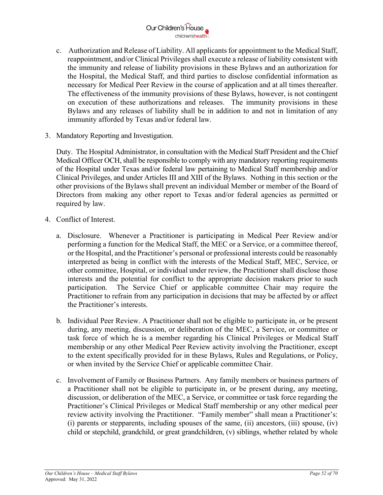# Our Children's House children'shealth?

- c. Authorization and Release of Liability. All applicants for appointment to the Medical Staff, reappointment, and/or Clinical Privileges shall execute a release of liability consistent with the immunity and release of liability provisions in these Bylaws and an authorization for the Hospital, the Medical Staff, and third parties to disclose confidential information as necessary for Medical Peer Review in the course of application and at all times thereafter. The effectiveness of the immunity provisions of these Bylaws, however, is not contingent on execution of these authorizations and releases. The immunity provisions in these Bylaws and any releases of liability shall be in addition to and not in limitation of any immunity afforded by Texas and/or federal law.
- 3. Mandatory Reporting and Investigation.

Duty. The Hospital Administrator, in consultation with the Medical Staff President and the Chief Medical Officer OCH, shall be responsible to comply with any mandatory reporting requirements of the Hospital under Texas and/or federal law pertaining to Medical Staff membership and/or Clinical Privileges, and under Articles III and XIII of the Bylaws. Nothing in this section or the other provisions of the Bylaws shall prevent an individual Member or member of the Board of Directors from making any other report to Texas and/or federal agencies as permitted or required by law.

- 4. Conflict of Interest.
	- a. Disclosure. Whenever a Practitioner is participating in Medical Peer Review and/or performing a function for the Medical Staff, the MEC or a Service, or a committee thereof, or the Hospital, and the Practitioner's personal or professional interests could be reasonably interpreted as being in conflict with the interests of the Medical Staff, MEC, Service, or other committee, Hospital, or individual under review, the Practitioner shall disclose those interests and the potential for conflict to the appropriate decision makers prior to such participation. The Service Chief or applicable committee Chair may require the Practitioner to refrain from any participation in decisions that may be affected by or affect the Practitioner's interests.
	- b. Individual Peer Review. A Practitioner shall not be eligible to participate in, or be present during, any meeting, discussion, or deliberation of the MEC, a Service, or committee or task force of which he is a member regarding his Clinical Privileges or Medical Staff membership or any other Medical Peer Review activity involving the Practitioner, except to the extent specifically provided for in these Bylaws, Rules and Regulations, or Policy, or when invited by the Service Chief or applicable committee Chair.
	- c. Involvement of Family or Business Partners. Any family members or business partners of a Practitioner shall not be eligible to participate in, or be present during, any meeting, discussion, or deliberation of the MEC, a Service, or committee or task force regarding the Practitioner's Clinical Privileges or Medical Staff membership or any other medical peer review activity involving the Practitioner. "Family member" shall mean a Practitioner's: (i) parents or stepparents, including spouses of the same, (ii) ancestors, (iii) spouse, (iv) child or stepchild, grandchild, or great grandchildren, (v) siblings, whether related by whole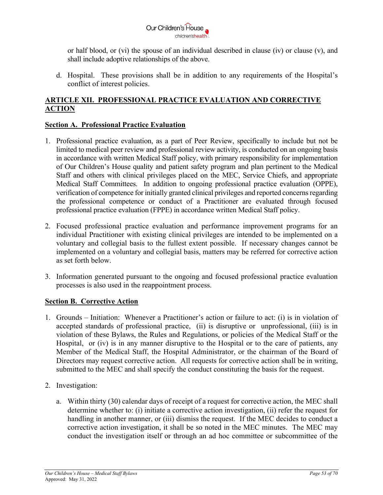

or half blood, or (vi) the spouse of an individual described in clause (iv) or clause (v), and shall include adoptive relationships of the above.

d. Hospital. These provisions shall be in addition to any requirements of the Hospital's conflict of interest policies.

# **ARTICLE XII. PROFESSIONAL PRACTICE EVALUATION AND CORRECTIVE ACTION**

#### **Section A. Professional Practice Evaluation**

- 1. Professional practice evaluation, as a part of Peer Review, specifically to include but not be limited to medical peer review and professional review activity, is conducted on an ongoing basis in accordance with written Medical Staff policy, with primary responsibility for implementation of Our Children's House quality and patient safety program and plan pertinent to the Medical Staff and others with clinical privileges placed on the MEC, Service Chiefs, and appropriate Medical Staff Committees. In addition to ongoing professional practice evaluation (OPPE), verification of competence for initially granted clinical privileges and reported concerns regarding the professional competence or conduct of a Practitioner are evaluated through focused professional practice evaluation (FPPE) in accordance written Medical Staff policy.
- 2. Focused professional practice evaluation and performance improvement programs for an individual Practitioner with existing clinical privileges are intended to be implemented on a voluntary and collegial basis to the fullest extent possible. If necessary changes cannot be implemented on a voluntary and collegial basis, matters may be referred for corrective action as set forth below.
- 3. Information generated pursuant to the ongoing and focused professional practice evaluation processes is also used in the reappointment process.

## **Section B. Corrective Action**

- 1. Grounds Initiation: Whenever a Practitioner's action or failure to act: (i) is in violation of accepted standards of professional practice, (ii) is disruptive or unprofessional, (iii) is in violation of these Bylaws, the Rules and Regulations, or policies of the Medical Staff or the Hospital, or (iv) is in any manner disruptive to the Hospital or to the care of patients, any Member of the Medical Staff, the Hospital Administrator, or the chairman of the Board of Directors may request corrective action. All requests for corrective action shall be in writing, submitted to the MEC and shall specify the conduct constituting the basis for the request.
- 2. Investigation:
	- a. Within thirty (30) calendar days of receipt of a request for corrective action, the MEC shall determine whether to: (i) initiate a corrective action investigation, (ii) refer the request for handling in another manner, or (iii) dismiss the request. If the MEC decides to conduct a corrective action investigation, it shall be so noted in the MEC minutes. The MEC may conduct the investigation itself or through an ad hoc committee or subcommittee of the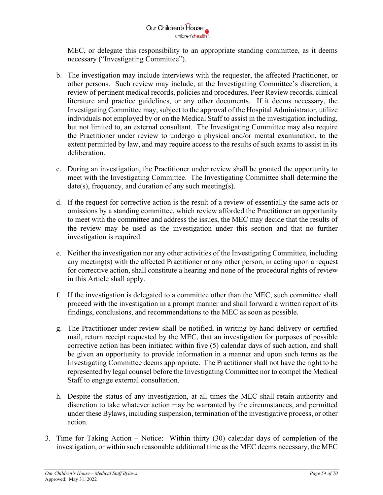

MEC, or delegate this responsibility to an appropriate standing committee, as it deems necessary ("Investigating Committee").

- b. The investigation may include interviews with the requester, the affected Practitioner, or other persons. Such review may include, at the Investigating Committee's discretion, a review of pertinent medical records, policies and procedures, Peer Review records, clinical literature and practice guidelines, or any other documents. If it deems necessary, the Investigating Committee may, subject to the approval of the Hospital Administrator, utilize individuals not employed by or on the Medical Staff to assist in the investigation including, but not limited to, an external consultant. The Investigating Committee may also require the Practitioner under review to undergo a physical and/or mental examination, to the extent permitted by law, and may require access to the results of such exams to assist in its deliberation.
- c. During an investigation, the Practitioner under review shall be granted the opportunity to meet with the Investigating Committee. The Investigating Committee shall determine the  $date(s)$ , frequency, and duration of any such meeting(s).
- d. If the request for corrective action is the result of a review of essentially the same acts or omissions by a standing committee, which review afforded the Practitioner an opportunity to meet with the committee and address the issues, the MEC may decide that the results of the review may be used as the investigation under this section and that no further investigation is required.
- e. Neither the investigation nor any other activities of the Investigating Committee, including any meeting(s) with the affected Practitioner or any other person, in acting upon a request for corrective action, shall constitute a hearing and none of the procedural rights of review in this Article shall apply.
- f. If the investigation is delegated to a committee other than the MEC, such committee shall proceed with the investigation in a prompt manner and shall forward a written report of its findings, conclusions, and recommendations to the MEC as soon as possible.
- g. The Practitioner under review shall be notified, in writing by hand delivery or certified mail, return receipt requested by the MEC, that an investigation for purposes of possible corrective action has been initiated within five (5) calendar days of such action, and shall be given an opportunity to provide information in a manner and upon such terms as the Investigating Committee deems appropriate. The Practitioner shall not have the right to be represented by legal counsel before the Investigating Committee nor to compel the Medical Staff to engage external consultation.
- h. Despite the status of any investigation, at all times the MEC shall retain authority and discretion to take whatever action may be warranted by the circumstances, and permitted under these Bylaws, including suspension, termination of the investigative process, or other action.
- 3. Time for Taking Action Notice: Within thirty (30) calendar days of completion of the investigation, or within such reasonable additional time as the MEC deems necessary, the MEC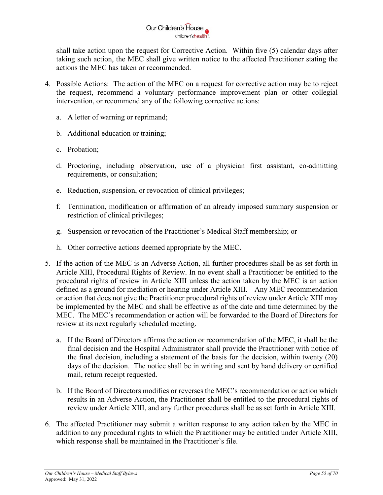shall take action upon the request for Corrective Action. Within five (5) calendar days after taking such action, the MEC shall give written notice to the affected Practitioner stating the actions the MEC has taken or recommended.

- 4. Possible Actions: The action of the MEC on a request for corrective action may be to reject the request, recommend a voluntary performance improvement plan or other collegial intervention, or recommend any of the following corrective actions:
	- a. A letter of warning or reprimand;
	- b. Additional education or training;
	- c. Probation;
	- d. Proctoring, including observation, use of a physician first assistant, co-admitting requirements, or consultation;
	- e. Reduction, suspension, or revocation of clinical privileges;
	- f. Termination, modification or affirmation of an already imposed summary suspension or restriction of clinical privileges;
	- g. Suspension or revocation of the Practitioner's Medical Staff membership; or
	- h. Other corrective actions deemed appropriate by the MEC.
- 5. If the action of the MEC is an Adverse Action, all further procedures shall be as set forth in Article XIII, Procedural Rights of Review. In no event shall a Practitioner be entitled to the procedural rights of review in Article XIII unless the action taken by the MEC is an action defined as a ground for mediation or hearing under Article XIII. Any MEC recommendation or action that does not give the Practitioner procedural rights of review under Article XIII may be implemented by the MEC and shall be effective as of the date and time determined by the MEC. The MEC's recommendation or action will be forwarded to the Board of Directors for review at its next regularly scheduled meeting.
	- a. If the Board of Directors affirms the action or recommendation of the MEC, it shall be the final decision and the Hospital Administrator shall provide the Practitioner with notice of the final decision, including a statement of the basis for the decision, within twenty (20) days of the decision. The notice shall be in writing and sent by hand delivery or certified mail, return receipt requested.
	- b. If the Board of Directors modifies or reverses the MEC's recommendation or action which results in an Adverse Action, the Practitioner shall be entitled to the procedural rights of review under Article XIII, and any further procedures shall be as set forth in Article XIII.
- 6. The affected Practitioner may submit a written response to any action taken by the MEC in addition to any procedural rights to which the Practitioner may be entitled under Article XIII, which response shall be maintained in the Practitioner's file.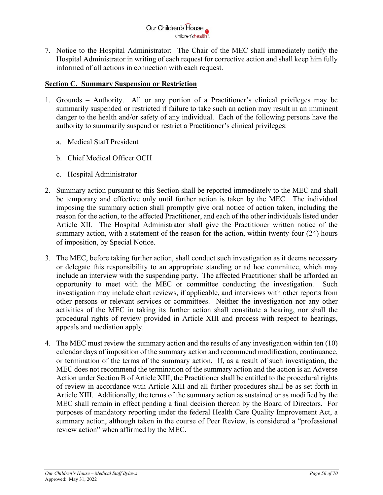

7. Notice to the Hospital Administrator: The Chair of the MEC shall immediately notify the Hospital Administrator in writing of each request for corrective action and shall keep him fully informed of all actions in connection with each request.

### **Section C. Summary Suspension or Restriction**

- 1. Grounds Authority. All or any portion of a Practitioner's clinical privileges may be summarily suspended or restricted if failure to take such an action may result in an imminent danger to the health and/or safety of any individual. Each of the following persons have the authority to summarily suspend or restrict a Practitioner's clinical privileges:
	- a. Medical Staff President
	- b. Chief Medical Officer OCH
	- c. Hospital Administrator
- 2. Summary action pursuant to this Section shall be reported immediately to the MEC and shall be temporary and effective only until further action is taken by the MEC. The individual imposing the summary action shall promptly give oral notice of action taken, including the reason for the action, to the affected Practitioner, and each of the other individuals listed under Article XII. The Hospital Administrator shall give the Practitioner written notice of the summary action, with a statement of the reason for the action, within twenty-four (24) hours of imposition, by Special Notice.
- 3. The MEC, before taking further action, shall conduct such investigation as it deems necessary or delegate this responsibility to an appropriate standing or ad hoc committee, which may include an interview with the suspending party. The affected Practitioner shall be afforded an opportunity to meet with the MEC or committee conducting the investigation. Such investigation may include chart reviews, if applicable, and interviews with other reports from other persons or relevant services or committees. Neither the investigation nor any other activities of the MEC in taking its further action shall constitute a hearing, nor shall the procedural rights of review provided in Article XIII and process with respect to hearings, appeals and mediation apply.
- 4. The MEC must review the summary action and the results of any investigation within ten (10) calendar days of imposition of the summary action and recommend modification, continuance, or termination of the terms of the summary action. If, as a result of such investigation, the MEC does not recommend the termination of the summary action and the action is an Adverse Action under Section B of Article XIII, the Practitioner shall be entitled to the procedural rights of review in accordance with Article XIII and all further procedures shall be as set forth in Article XIII. Additionally, the terms of the summary action as sustained or as modified by the MEC shall remain in effect pending a final decision thereon by the Board of Directors. For purposes of mandatory reporting under the federal Health Care Quality Improvement Act, a summary action, although taken in the course of Peer Review, is considered a "professional review action" when affirmed by the MEC.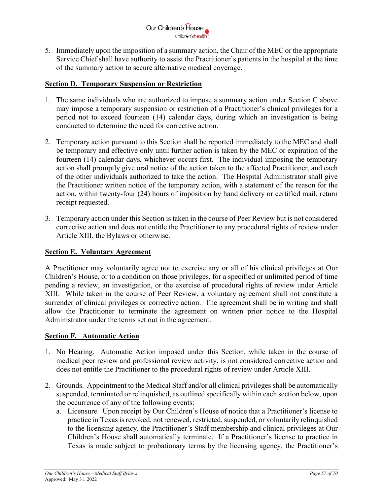

5. Immediately upon the imposition of a summary action, the Chair of the MEC or the appropriate Service Chief shall have authority to assist the Practitioner's patients in the hospital at the time of the summary action to secure alternative medical coverage.

### **Section D. Temporary Suspension or Restriction**

- 1. The same individuals who are authorized to impose a summary action under Section C above may impose a temporary suspension or restriction of a Practitioner's clinical privileges for a period not to exceed fourteen (14) calendar days, during which an investigation is being conducted to determine the need for corrective action.
- 2. Temporary action pursuant to this Section shall be reported immediately to the MEC and shall be temporary and effective only until further action is taken by the MEC or expiration of the fourteen (14) calendar days, whichever occurs first. The individual imposing the temporary action shall promptly give oral notice of the action taken to the affected Practitioner, and each of the other individuals authorized to take the action. The Hospital Administrator shall give the Practitioner written notice of the temporary action, with a statement of the reason for the action, within twenty-four (24) hours of imposition by hand delivery or certified mail, return receipt requested.
- 3. Temporary action under this Section is taken in the course of Peer Review but is not considered corrective action and does not entitle the Practitioner to any procedural rights of review under Article XIII, the Bylaws or otherwise.

#### **Section E. Voluntary Agreement**

A Practitioner may voluntarily agree not to exercise any or all of his clinical privileges at Our Children's House, or to a condition on those privileges, for a specified or unlimited period of time pending a review, an investigation, or the exercise of procedural rights of review under Article XIII. While taken in the course of Peer Review, a voluntary agreement shall not constitute a surrender of clinical privileges or corrective action. The agreement shall be in writing and shall allow the Practitioner to terminate the agreement on written prior notice to the Hospital Administrator under the terms set out in the agreement.

#### **Section F. Automatic Action**

- 1. No Hearing. Automatic Action imposed under this Section, while taken in the course of medical peer review and professional review activity, is not considered corrective action and does not entitle the Practitioner to the procedural rights of review under Article XIII.
- 2. Grounds. Appointment to the Medical Staff and/or all clinical privileges shall be automatically suspended, terminated or relinquished, as outlined specifically within each section below, upon the occurrence of any of the following events:
	- a. Licensure. Upon receipt by Our Children's House of notice that a Practitioner's license to practice in Texas is revoked, not renewed, restricted, suspended, or voluntarily relinquished to the licensing agency, the Practitioner's Staff membership and clinical privileges at Our Children's House shall automatically terminate. If a Practitioner's license to practice in Texas is made subject to probationary terms by the licensing agency, the Practitioner's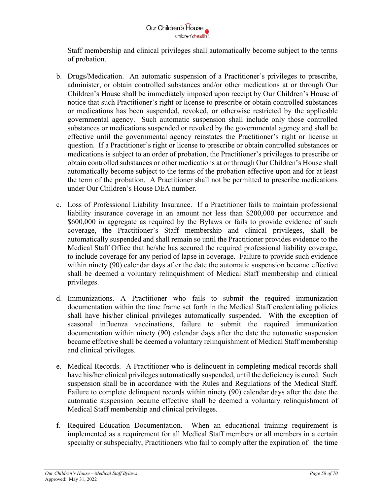

Staff membership and clinical privileges shall automatically become subject to the terms of probation.

- b. Drugs/Medication. An automatic suspension of a Practitioner's privileges to prescribe, administer, or obtain controlled substances and/or other medications at or through Our Children's House shall be immediately imposed upon receipt by Our Children's House of notice that such Practitioner's right or license to prescribe or obtain controlled substances or medications has been suspended, revoked, or otherwise restricted by the applicable governmental agency. Such automatic suspension shall include only those controlled substances or medications suspended or revoked by the governmental agency and shall be effective until the governmental agency reinstates the Practitioner's right or license in question. If a Practitioner's right or license to prescribe or obtain controlled substances or medications is subject to an order of probation, the Practitioner's privileges to prescribe or obtain controlled substances or other medications at or through Our Children's House shall automatically become subject to the terms of the probation effective upon and for at least the term of the probation. A Practitioner shall not be permitted to prescribe medications under Our Children's House DEA number.
- c. Loss of Professional Liability Insurance. If a Practitioner fails to maintain professional liability insurance coverage in an amount not less than \$200,000 per occurrence and \$600,000 in aggregate as required by the Bylaws or fails to provide evidence of such coverage, the Practitioner's Staff membership and clinical privileges, shall be automatically suspended and shall remain so until the Practitioner provides evidence to the Medical Staff Office that he/she has secured the required professional liability coverage**,**  to include coverage for any period of lapse in coverage. Failure to provide such evidence within ninety (90) calendar days after the date the automatic suspension became effective shall be deemed a voluntary relinquishment of Medical Staff membership and clinical privileges.
- d. Immunizations. A Practitioner who fails to submit the required immunization documentation within the time frame set forth in the Medical Staff credentialing policies shall have his/her clinical privileges automatically suspended. With the exception of seasonal influenza vaccinations, failure to submit the required immunization documentation within ninety (90) calendar days after the date the automatic suspension became effective shall be deemed a voluntary relinquishment of Medical Staff membership and clinical privileges.
- e. Medical Records. A Practitioner who is delinquent in completing medical records shall have his/her clinical privileges automatically suspended, until the deficiency is cured. Such suspension shall be in accordance with the Rules and Regulations of the Medical Staff. Failure to complete delinquent records within ninety (90) calendar days after the date the automatic suspension became effective shall be deemed a voluntary relinquishment of Medical Staff membership and clinical privileges.
- f. Required Education Documentation. When an educational training requirement is implemented as a requirement for all Medical Staff members or all members in a certain specialty or subspecialty, Practitioners who fail to comply after the expiration of the time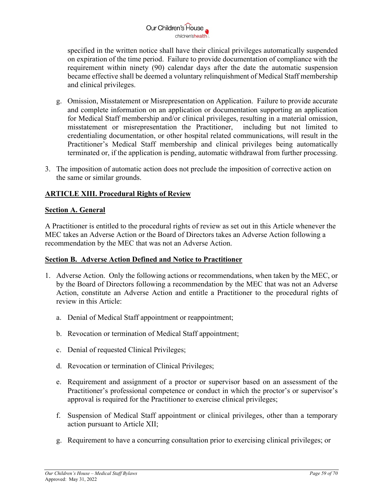

specified in the written notice shall have their clinical privileges automatically suspended on expiration of the time period. Failure to provide documentation of compliance with the requirement within ninety (90) calendar days after the date the automatic suspension became effective shall be deemed a voluntary relinquishment of Medical Staff membership and clinical privileges.

- g. Omission, Misstatement or Misrepresentation on Application. Failure to provide accurate and complete information on an application or documentation supporting an application for Medical Staff membership and/or clinical privileges, resulting in a material omission, misstatement or misrepresentation the Practitioner, including but not limited to credentialing documentation, or other hospital related communications, will result in the Practitioner's Medical Staff membership and clinical privileges being automatically terminated or, if the application is pending, automatic withdrawal from further processing.
- 3. The imposition of automatic action does not preclude the imposition of corrective action on the same or similar grounds.

## **ARTICLE XIII. Procedural Rights of Review**

#### **Section A. General**

A Practitioner is entitled to the procedural rights of review as set out in this Article whenever the MEC takes an Adverse Action or the Board of Directors takes an Adverse Action following a recommendation by the MEC that was not an Adverse Action.

## **Section B. Adverse Action Defined and Notice to Practitioner**

- 1. Adverse Action. Only the following actions or recommendations, when taken by the MEC, or by the Board of Directors following a recommendation by the MEC that was not an Adverse Action, constitute an Adverse Action and entitle a Practitioner to the procedural rights of review in this Article:
	- a. Denial of Medical Staff appointment or reappointment;
	- b. Revocation or termination of Medical Staff appointment;
	- c. Denial of requested Clinical Privileges;
	- d. Revocation or termination of Clinical Privileges;
	- e. Requirement and assignment of a proctor or supervisor based on an assessment of the Practitioner's professional competence or conduct in which the proctor's or supervisor's approval is required for the Practitioner to exercise clinical privileges;
	- f. Suspension of Medical Staff appointment or clinical privileges, other than a temporary action pursuant to Article XII;
	- g. Requirement to have a concurring consultation prior to exercising clinical privileges; or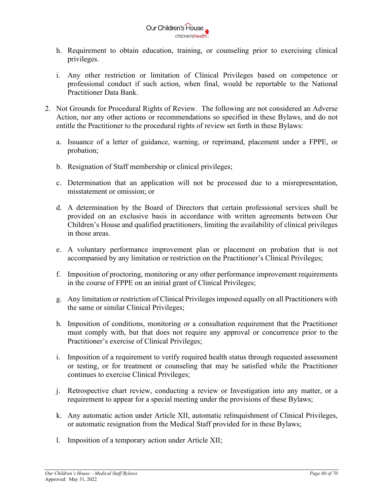

- h. Requirement to obtain education, training, or counseling prior to exercising clinical privileges.
- i. Any other restriction or limitation of Clinical Privileges based on competence or professional conduct if such action, when final, would be reportable to the National Practitioner Data Bank.
- 2. Not Grounds for Procedural Rights of Review. The following are not considered an Adverse Action, nor any other actions or recommendations so specified in these Bylaws, and do not entitle the Practitioner to the procedural rights of review set forth in these Bylaws:
	- a. Issuance of a letter of guidance, warning, or reprimand, placement under a FPPE, or probation;
	- b. Resignation of Staff membership or clinical privileges;
	- c. Determination that an application will not be processed due to a misrepresentation, misstatement or omission; or
	- d. A determination by the Board of Directors that certain professional services shall be provided on an exclusive basis in accordance with written agreements between Our Children's House and qualified practitioners, limiting the availability of clinical privileges in those areas.
	- e. A voluntary performance improvement plan or placement on probation that is not accompanied by any limitation or restriction on the Practitioner's Clinical Privileges;
	- f. Imposition of proctoring, monitoring or any other performance improvement requirements in the course of FPPE on an initial grant of Clinical Privileges;
	- g. Any limitation or restriction of Clinical Privileges imposed equally on all Practitioners with the same or similar Clinical Privileges;
	- h. Imposition of conditions, monitoring or a consultation requirement that the Practitioner must comply with, but that does not require any approval or concurrence prior to the Practitioner's exercise of Clinical Privileges;
	- i. Imposition of a requirement to verify required health status through requested assessment or testing, or for treatment or counseling that may be satisfied while the Practitioner continues to exercise Clinical Privileges;
	- j. Retrospective chart review, conducting a review or Investigation into any matter, or a requirement to appear for a special meeting under the provisions of these Bylaws;
	- k. Any automatic action under Article XII, automatic relinquishment of Clinical Privileges, or automatic resignation from the Medical Staff provided for in these Bylaws;
	- l. Imposition of a temporary action under Article XII;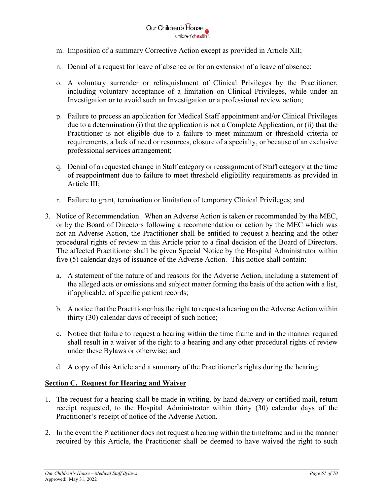

- m. Imposition of a summary Corrective Action except as provided in Article XII;
- n. Denial of a request for leave of absence or for an extension of a leave of absence;
- o. A voluntary surrender or relinquishment of Clinical Privileges by the Practitioner, including voluntary acceptance of a limitation on Clinical Privileges, while under an Investigation or to avoid such an Investigation or a professional review action;
- p. Failure to process an application for Medical Staff appointment and/or Clinical Privileges due to a determination (i) that the application is not a Complete Application, or (ii) that the Practitioner is not eligible due to a failure to meet minimum or threshold criteria or requirements, a lack of need or resources, closure of a specialty, or because of an exclusive professional services arrangement;
- q. Denial of a requested change in Staff category or reassignment of Staff category at the time of reappointment due to failure to meet threshold eligibility requirements as provided in Article III;
- r. Failure to grant, termination or limitation of temporary Clinical Privileges; and
- 3. Notice of Recommendation. When an Adverse Action is taken or recommended by the MEC, or by the Board of Directors following a recommendation or action by the MEC which was not an Adverse Action, the Practitioner shall be entitled to request a hearing and the other procedural rights of review in this Article prior to a final decision of the Board of Directors. The affected Practitioner shall be given Special Notice by the Hospital Administrator within five (5) calendar days of issuance of the Adverse Action. This notice shall contain:
	- a. A statement of the nature of and reasons for the Adverse Action, including a statement of the alleged acts or omissions and subject matter forming the basis of the action with a list, if applicable, of specific patient records;
	- b. A notice that the Practitioner has the right to request a hearing on the Adverse Action within thirty (30) calendar days of receipt of such notice;
	- c. Notice that failure to request a hearing within the time frame and in the manner required shall result in a waiver of the right to a hearing and any other procedural rights of review under these Bylaws or otherwise; and
	- d. A copy of this Article and a summary of the Practitioner's rights during the hearing.

#### **Section C. Request for Hearing and Waiver**

- 1. The request for a hearing shall be made in writing, by hand delivery or certified mail, return receipt requested, to the Hospital Administrator within thirty (30) calendar days of the Practitioner's receipt of notice of the Adverse Action.
- 2. In the event the Practitioner does not request a hearing within the timeframe and in the manner required by this Article, the Practitioner shall be deemed to have waived the right to such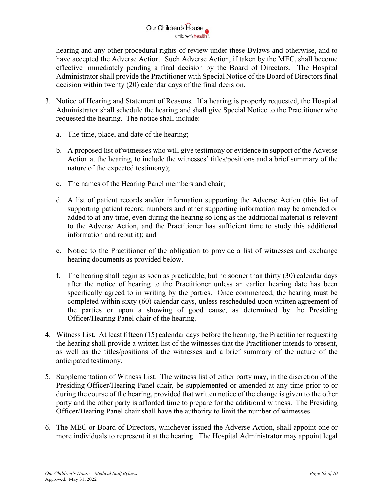

hearing and any other procedural rights of review under these Bylaws and otherwise, and to have accepted the Adverse Action. Such Adverse Action, if taken by the MEC, shall become effective immediately pending a final decision by the Board of Directors. The Hospital Administrator shall provide the Practitioner with Special Notice of the Board of Directors final decision within twenty (20) calendar days of the final decision.

- 3. Notice of Hearing and Statement of Reasons. If a hearing is properly requested, the Hospital Administrator shall schedule the hearing and shall give Special Notice to the Practitioner who requested the hearing. The notice shall include:
	- a. The time, place, and date of the hearing;
	- b. A proposed list of witnesses who will give testimony or evidence in support of the Adverse Action at the hearing, to include the witnesses' titles/positions and a brief summary of the nature of the expected testimony);
	- c. The names of the Hearing Panel members and chair;
	- d. A list of patient records and/or information supporting the Adverse Action (this list of supporting patient record numbers and other supporting information may be amended or added to at any time, even during the hearing so long as the additional material is relevant to the Adverse Action, and the Practitioner has sufficient time to study this additional information and rebut it); and
	- e. Notice to the Practitioner of the obligation to provide a list of witnesses and exchange hearing documents as provided below.
	- f. The hearing shall begin as soon as practicable, but no sooner than thirty (30) calendar days after the notice of hearing to the Practitioner unless an earlier hearing date has been specifically agreed to in writing by the parties. Once commenced, the hearing must be completed within sixty (60) calendar days, unless rescheduled upon written agreement of the parties or upon a showing of good cause, as determined by the Presiding Officer/Hearing Panel chair of the hearing.
- 4. Witness List. At least fifteen (15) calendar days before the hearing, the Practitioner requesting the hearing shall provide a written list of the witnesses that the Practitioner intends to present, as well as the titles/positions of the witnesses and a brief summary of the nature of the anticipated testimony.
- 5. Supplementation of Witness List. The witness list of either party may, in the discretion of the Presiding Officer/Hearing Panel chair, be supplemented or amended at any time prior to or during the course of the hearing, provided that written notice of the change is given to the other party and the other party is afforded time to prepare for the additional witness. The Presiding Officer/Hearing Panel chair shall have the authority to limit the number of witnesses.
- 6. The MEC or Board of Directors, whichever issued the Adverse Action, shall appoint one or more individuals to represent it at the hearing. The Hospital Administrator may appoint legal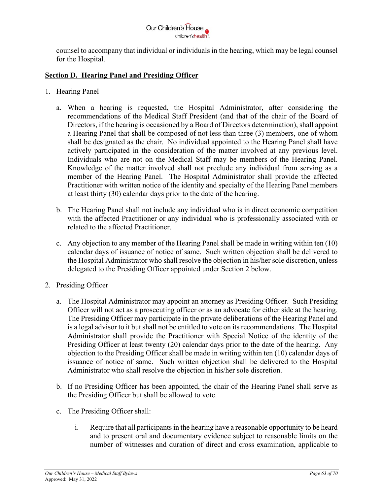

counsel to accompany that individual or individuals in the hearing, which may be legal counsel for the Hospital.

## **Section D. Hearing Panel and Presiding Officer**

- 1. Hearing Panel
	- a. When a hearing is requested, the Hospital Administrator, after considering the recommendations of the Medical Staff President (and that of the chair of the Board of Directors, if the hearing is occasioned by a Board of Directors determination), shall appoint a Hearing Panel that shall be composed of not less than three (3) members, one of whom shall be designated as the chair. No individual appointed to the Hearing Panel shall have actively participated in the consideration of the matter involved at any previous level. Individuals who are not on the Medical Staff may be members of the Hearing Panel. Knowledge of the matter involved shall not preclude any individual from serving as a member of the Hearing Panel. The Hospital Administrator shall provide the affected Practitioner with written notice of the identity and specialty of the Hearing Panel members at least thirty (30) calendar days prior to the date of the hearing.
	- b. The Hearing Panel shall not include any individual who is in direct economic competition with the affected Practitioner or any individual who is professionally associated with or related to the affected Practitioner.
	- c. Any objection to any member of the Hearing Panel shall be made in writing within ten (10) calendar days of issuance of notice of same. Such written objection shall be delivered to the Hospital Administrator who shall resolve the objection in his/her sole discretion, unless delegated to the Presiding Officer appointed under Section 2 below.
- 2. Presiding Officer
	- a. The Hospital Administrator may appoint an attorney as Presiding Officer. Such Presiding Officer will not act as a prosecuting officer or as an advocate for either side at the hearing. The Presiding Officer may participate in the private deliberations of the Hearing Panel and is a legal advisor to it but shall not be entitled to vote on its recommendations. The Hospital Administrator shall provide the Practitioner with Special Notice of the identity of the Presiding Officer at least twenty (20) calendar days prior to the date of the hearing. Any objection to the Presiding Officer shall be made in writing within ten (10) calendar days of issuance of notice of same. Such written objection shall be delivered to the Hospital Administrator who shall resolve the objection in his/her sole discretion.
	- b. If no Presiding Officer has been appointed, the chair of the Hearing Panel shall serve as the Presiding Officer but shall be allowed to vote.
	- c. The Presiding Officer shall:
		- i. Require that all participants in the hearing have a reasonable opportunity to be heard and to present oral and documentary evidence subject to reasonable limits on the number of witnesses and duration of direct and cross examination, applicable to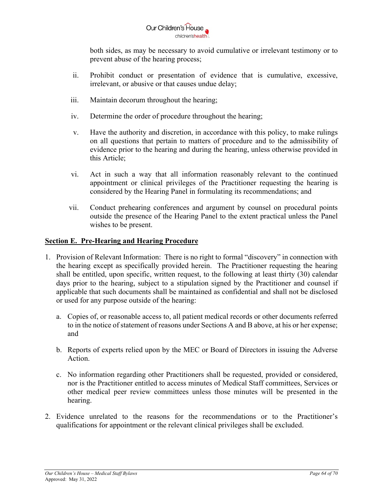

both sides, as may be necessary to avoid cumulative or irrelevant testimony or to prevent abuse of the hearing process;

- ii. Prohibit conduct or presentation of evidence that is cumulative, excessive, irrelevant, or abusive or that causes undue delay;
- iii. Maintain decorum throughout the hearing;
- iv. Determine the order of procedure throughout the hearing;
- v. Have the authority and discretion, in accordance with this policy, to make rulings on all questions that pertain to matters of procedure and to the admissibility of evidence prior to the hearing and during the hearing, unless otherwise provided in this Article;
- vi. Act in such a way that all information reasonably relevant to the continued appointment or clinical privileges of the Practitioner requesting the hearing is considered by the Hearing Panel in formulating its recommendations; and
- vii. Conduct prehearing conferences and argument by counsel on procedural points outside the presence of the Hearing Panel to the extent practical unless the Panel wishes to be present.

#### **Section E. Pre-Hearing and Hearing Procedure**

- 1. Provision of Relevant Information: There is no right to formal "discovery" in connection with the hearing except as specifically provided herein. The Practitioner requesting the hearing shall be entitled, upon specific, written request, to the following at least thirty (30) calendar days prior to the hearing, subject to a stipulation signed by the Practitioner and counsel if applicable that such documents shall be maintained as confidential and shall not be disclosed or used for any purpose outside of the hearing:
	- a. Copies of, or reasonable access to, all patient medical records or other documents referred to in the notice of statement of reasons under Sections A and B above, at his or her expense; and
	- b. Reports of experts relied upon by the MEC or Board of Directors in issuing the Adverse Action.
	- c. No information regarding other Practitioners shall be requested, provided or considered, nor is the Practitioner entitled to access minutes of Medical Staff committees, Services or other medical peer review committees unless those minutes will be presented in the hearing.
- 2. Evidence unrelated to the reasons for the recommendations or to the Practitioner's qualifications for appointment or the relevant clinical privileges shall be excluded.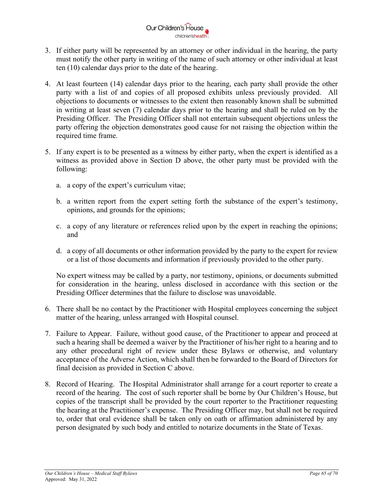- 3. If either party will be represented by an attorney or other individual in the hearing, the party must notify the other party in writing of the name of such attorney or other individual at least ten (10) calendar days prior to the date of the hearing.
- 4. At least fourteen (14) calendar days prior to the hearing, each party shall provide the other party with a list of and copies of all proposed exhibits unless previously provided. All objections to documents or witnesses to the extent then reasonably known shall be submitted in writing at least seven (7) calendar days prior to the hearing and shall be ruled on by the Presiding Officer. The Presiding Officer shall not entertain subsequent objections unless the party offering the objection demonstrates good cause for not raising the objection within the required time frame.
- 5. If any expert is to be presented as a witness by either party, when the expert is identified as a witness as provided above in Section D above, the other party must be provided with the following:
	- a. a copy of the expert's curriculum vitae;
	- b. a written report from the expert setting forth the substance of the expert's testimony, opinions, and grounds for the opinions;
	- c. a copy of any literature or references relied upon by the expert in reaching the opinions; and
	- d. a copy of all documents or other information provided by the party to the expert for review or a list of those documents and information if previously provided to the other party.

No expert witness may be called by a party, nor testimony, opinions, or documents submitted for consideration in the hearing, unless disclosed in accordance with this section or the Presiding Officer determines that the failure to disclose was unavoidable.

- 6. There shall be no contact by the Practitioner with Hospital employees concerning the subject matter of the hearing, unless arranged with Hospital counsel.
- 7. Failure to Appear. Failure, without good cause, of the Practitioner to appear and proceed at such a hearing shall be deemed a waiver by the Practitioner of his/her right to a hearing and to any other procedural right of review under these Bylaws or otherwise, and voluntary acceptance of the Adverse Action, which shall then be forwarded to the Board of Directors for final decision as provided in Section C above.
- 8. Record of Hearing. The Hospital Administrator shall arrange for a court reporter to create a record of the hearing. The cost of such reporter shall be borne by Our Children's House, but copies of the transcript shall be provided by the court reporter to the Practitioner requesting the hearing at the Practitioner's expense. The Presiding Officer may, but shall not be required to, order that oral evidence shall be taken only on oath or affirmation administered by any person designated by such body and entitled to notarize documents in the State of Texas.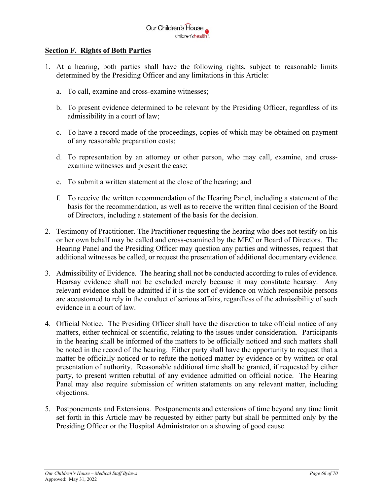

#### **Section F. Rights of Both Parties**

- 1. At a hearing, both parties shall have the following rights, subject to reasonable limits determined by the Presiding Officer and any limitations in this Article:
	- a. To call, examine and cross-examine witnesses;
	- b. To present evidence determined to be relevant by the Presiding Officer, regardless of its admissibility in a court of law;
	- c. To have a record made of the proceedings, copies of which may be obtained on payment of any reasonable preparation costs;
	- d. To representation by an attorney or other person, who may call, examine, and crossexamine witnesses and present the case;
	- e. To submit a written statement at the close of the hearing; and
	- f. To receive the written recommendation of the Hearing Panel, including a statement of the basis for the recommendation, as well as to receive the written final decision of the Board of Directors, including a statement of the basis for the decision.
- 2. Testimony of Practitioner. The Practitioner requesting the hearing who does not testify on his or her own behalf may be called and cross-examined by the MEC or Board of Directors. The Hearing Panel and the Presiding Officer may question any parties and witnesses, request that additional witnesses be called, or request the presentation of additional documentary evidence.
- 3. Admissibility of Evidence. The hearing shall not be conducted according to rules of evidence. Hearsay evidence shall not be excluded merely because it may constitute hearsay. Any relevant evidence shall be admitted if it is the sort of evidence on which responsible persons are accustomed to rely in the conduct of serious affairs, regardless of the admissibility of such evidence in a court of law.
- 4. Official Notice. The Presiding Officer shall have the discretion to take official notice of any matters, either technical or scientific, relating to the issues under consideration. Participants in the hearing shall be informed of the matters to be officially noticed and such matters shall be noted in the record of the hearing. Either party shall have the opportunity to request that a matter be officially noticed or to refute the noticed matter by evidence or by written or oral presentation of authority. Reasonable additional time shall be granted, if requested by either party, to present written rebuttal of any evidence admitted on official notice. The Hearing Panel may also require submission of written statements on any relevant matter, including objections.
- 5. Postponements and Extensions. Postponements and extensions of time beyond any time limit set forth in this Article may be requested by either party but shall be permitted only by the Presiding Officer or the Hospital Administrator on a showing of good cause.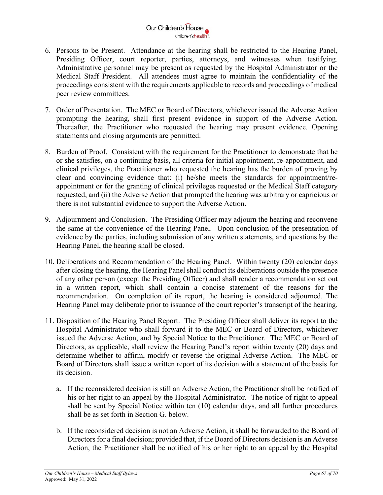

- 6. Persons to be Present. Attendance at the hearing shall be restricted to the Hearing Panel, Presiding Officer, court reporter, parties, attorneys, and witnesses when testifying. Administrative personnel may be present as requested by the Hospital Administrator or the Medical Staff President. All attendees must agree to maintain the confidentiality of the proceedings consistent with the requirements applicable to records and proceedings of medical peer review committees.
- 7. Order of Presentation. The MEC or Board of Directors, whichever issued the Adverse Action prompting the hearing, shall first present evidence in support of the Adverse Action. Thereafter, the Practitioner who requested the hearing may present evidence. Opening statements and closing arguments are permitted.
- 8. Burden of Proof. Consistent with the requirement for the Practitioner to demonstrate that he or she satisfies, on a continuing basis, all criteria for initial appointment, re-appointment, and clinical privileges, the Practitioner who requested the hearing has the burden of proving by clear and convincing evidence that: (i) he/she meets the standards for appointment/reappointment or for the granting of clinical privileges requested or the Medical Staff category requested, and (ii) the Adverse Action that prompted the hearing was arbitrary or capricious or there is not substantial evidence to support the Adverse Action.
- 9. Adjournment and Conclusion. The Presiding Officer may adjourn the hearing and reconvene the same at the convenience of the Hearing Panel. Upon conclusion of the presentation of evidence by the parties, including submission of any written statements, and questions by the Hearing Panel, the hearing shall be closed.
- 10. Deliberations and Recommendation of the Hearing Panel. Within twenty (20) calendar days after closing the hearing, the Hearing Panel shall conduct its deliberations outside the presence of any other person (except the Presiding Officer) and shall render a recommendation set out in a written report, which shall contain a concise statement of the reasons for the recommendation. On completion of its report, the hearing is considered adjourned. The Hearing Panel may deliberate prior to issuance of the court reporter's transcript of the hearing.
- 11. Disposition of the Hearing Panel Report. The Presiding Officer shall deliver its report to the Hospital Administrator who shall forward it to the MEC or Board of Directors, whichever issued the Adverse Action, and by Special Notice to the Practitioner. The MEC or Board of Directors, as applicable, shall review the Hearing Panel's report within twenty (20) days and determine whether to affirm, modify or reverse the original Adverse Action. The MEC or Board of Directors shall issue a written report of its decision with a statement of the basis for its decision.
	- a. If the reconsidered decision is still an Adverse Action, the Practitioner shall be notified of his or her right to an appeal by the Hospital Administrator. The notice of right to appeal shall be sent by Special Notice within ten (10) calendar days, and all further procedures shall be as set forth in Section G. below.
	- b. If the reconsidered decision is not an Adverse Action, it shall be forwarded to the Board of Directors for a final decision; provided that, if the Board of Directors decision is an Adverse Action, the Practitioner shall be notified of his or her right to an appeal by the Hospital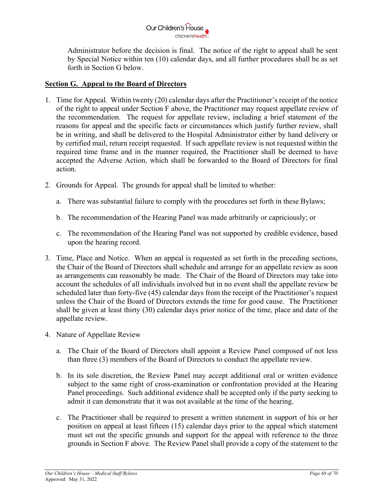Administrator before the decision is final. The notice of the right to appeal shall be sent by Special Notice within ten (10) calendar days, and all further procedures shall be as set forth in Section G below.

## **Section G. Appeal to the Board of Directors**

- 1. Time for Appeal. Within twenty (20) calendar days after the Practitioner's receipt of the notice of the right to appeal under Section F above, the Practitioner may request appellate review of the recommendation. The request for appellate review, including a brief statement of the reasons for appeal and the specific facts or circumstances which justify further review, shall be in writing, and shall be delivered to the Hospital Administrator either by hand delivery or by certified mail, return receipt requested. If such appellate review is not requested within the required time frame and in the manner required, the Practitioner shall be deemed to have accepted the Adverse Action, which shall be forwarded to the Board of Directors for final action.
- 2. Grounds for Appeal. The grounds for appeal shall be limited to whether:
	- a. There was substantial failure to comply with the procedures set forth in these Bylaws;
	- b. The recommendation of the Hearing Panel was made arbitrarily or capriciously; or
	- c. The recommendation of the Hearing Panel was not supported by credible evidence, based upon the hearing record.
- 3. Time, Place and Notice. When an appeal is requested as set forth in the preceding sections, the Chair of the Board of Directors shall schedule and arrange for an appellate review as soon as arrangements can reasonably be made. The Chair of the Board of Directors may take into account the schedules of all individuals involved but in no event shall the appellate review be scheduled later than forty-five (45) calendar days from the receipt of the Practitioner's request unless the Chair of the Board of Directors extends the time for good cause. The Practitioner shall be given at least thirty (30) calendar days prior notice of the time, place and date of the appellate review.
- 4. Nature of Appellate Review
	- a. The Chair of the Board of Directors shall appoint a Review Panel composed of not less than three (3) members of the Board of Directors to conduct the appellate review.
	- b. In its sole discretion, the Review Panel may accept additional oral or written evidence subject to the same right of cross-examination or confrontation provided at the Hearing Panel proceedings. Such additional evidence shall be accepted only if the party seeking to admit it can demonstrate that it was not available at the time of the hearing.
	- c. The Practitioner shall be required to present a written statement in support of his or her position on appeal at least fifteen (15) calendar days prior to the appeal which statement must set out the specific grounds and support for the appeal with reference to the three grounds in Section F above. The Review Panel shall provide a copy of the statement to the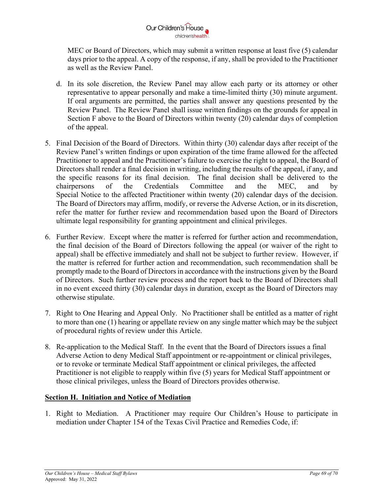

MEC or Board of Directors, which may submit a written response at least five (5) calendar days prior to the appeal. A copy of the response, if any, shall be provided to the Practitioner as well as the Review Panel.

- d. In its sole discretion, the Review Panel may allow each party or its attorney or other representative to appear personally and make a time-limited thirty (30) minute argument. If oral arguments are permitted, the parties shall answer any questions presented by the Review Panel. The Review Panel shall issue written findings on the grounds for appeal in Section F above to the Board of Directors within twenty (20) calendar days of completion of the appeal.
- 5. Final Decision of the Board of Directors. Within thirty (30) calendar days after receipt of the Review Panel's written findings or upon expiration of the time frame allowed for the affected Practitioner to appeal and the Practitioner's failure to exercise the right to appeal, the Board of Directors shall render a final decision in writing, including the results of the appeal, if any, and the specific reasons for its final decision. The final decision shall be delivered to the chairpersons of the Credentials Committee and the MEC, and by Special Notice to the affected Practitioner within twenty (20) calendar days of the decision. The Board of Directors may affirm, modify, or reverse the Adverse Action, or in its discretion, refer the matter for further review and recommendation based upon the Board of Directors ultimate legal responsibility for granting appointment and clinical privileges.
- 6. Further Review. Except where the matter is referred for further action and recommendation, the final decision of the Board of Directors following the appeal (or waiver of the right to appeal) shall be effective immediately and shall not be subject to further review. However, if the matter is referred for further action and recommendation, such recommendation shall be promptly made to the Board of Directors in accordance with the instructions given by the Board of Directors. Such further review process and the report back to the Board of Directors shall in no event exceed thirty (30) calendar days in duration, except as the Board of Directors may otherwise stipulate.
- 7. Right to One Hearing and Appeal Only. No Practitioner shall be entitled as a matter of right to more than one (1) hearing or appellate review on any single matter which may be the subject of procedural rights of review under this Article.
- 8. Re-application to the Medical Staff. In the event that the Board of Directors issues a final Adverse Action to deny Medical Staff appointment or re-appointment or clinical privileges, or to revoke or terminate Medical Staff appointment or clinical privileges, the affected Practitioner is not eligible to reapply within five (5) years for Medical Staff appointment or those clinical privileges, unless the Board of Directors provides otherwise.

## **Section H. Initiation and Notice of Mediation**

1. Right to Mediation. A Practitioner may require Our Children's House to participate in mediation under Chapter 154 of the Texas Civil Practice and Remedies Code, if: